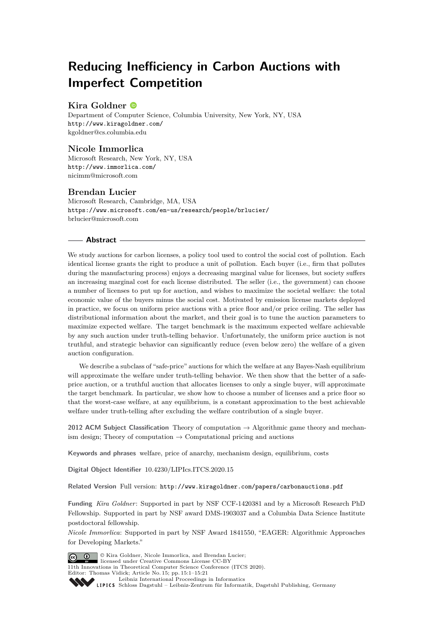# **Reducing Inefficiency in Carbon Auctions with Imperfect Competition**

# **Kira Goldner**

Department of Computer Science, Columbia University, New York, NY, USA <http://www.kiragoldner.com/> [kgoldner@cs.columbia.edu](mailto:kgoldner@cs.columbia.edu)

# **Nicole Immorlica**

Microsoft Research, New York, NY, USA <http://www.immorlica.com/> [nicimm@microsoft.com](mailto:nicimm@microsoft.com)

# **Brendan Lucier**

Microsoft Research, Cambridge, MA, USA <https://www.microsoft.com/en-us/research/people/brlucier/> [brlucier@microsoft.com](mailto:brlucier@microsoft.com)

## **Abstract**

We study auctions for carbon licenses, a policy tool used to control the social cost of pollution. Each identical license grants the right to produce a unit of pollution. Each buyer (i.e., firm that pollutes during the manufacturing process) enjoys a decreasing marginal value for licenses, but society suffers an increasing marginal cost for each license distributed. The seller (i.e., the government) can choose a number of licenses to put up for auction, and wishes to maximize the societal welfare: the total economic value of the buyers minus the social cost. Motivated by emission license markets deployed in practice, we focus on uniform price auctions with a price floor and/or price ceiling. The seller has distributional information about the market, and their goal is to tune the auction parameters to maximize expected welfare. The target benchmark is the maximum expected welfare achievable by any such auction under truth-telling behavior. Unfortunately, the uniform price auction is not truthful, and strategic behavior can significantly reduce (even below zero) the welfare of a given auction configuration.

We describe a subclass of "safe-price" auctions for which the welfare at any Bayes-Nash equilibrium will approximate the welfare under truth-telling behavior. We then show that the better of a safeprice auction, or a truthful auction that allocates licenses to only a single buyer, will approximate the target benchmark. In particular, we show how to choose a number of licenses and a price floor so that the worst-case welfare, at any equilibrium, is a constant approximation to the best achievable welfare under truth-telling after excluding the welfare contribution of a single buyer.

**2012 ACM Subject Classification** Theory of computation → Algorithmic game theory and mechanism design; Theory of computation  $\rightarrow$  Computational pricing and auctions

**Keywords and phrases** welfare, price of anarchy, mechanism design, equilibrium, costs

**Digital Object Identifier** [10.4230/LIPIcs.ITCS.2020.15](https://doi.org/10.4230/LIPIcs.ITCS.2020.15)

**Related Version** Full version: <http://www.kiragoldner.com/papers/carbonauctions.pdf>

**Funding** *Kira Goldner*: Supported in part by NSF CCF-1420381 and by a Microsoft Research PhD Fellowship. Supported in part by NSF award DMS-1903037 and a Columbia Data Science Institute postdoctoral fellowship.

*Nicole Immorlica*: Supported in part by NSF Award 1841550, "EAGER: Algorithmic Approaches for Developing Markets."



© Kira Goldner, Nicole Immorlica, and Brendan Lucier; licensed under Creative Commons License CC-BY 11th Innovations in Theoretical Computer Science Conference (ITCS 2020). Editor: Thomas Vidick; Article No. 15; pp. 15:1–15[:21](#page-20-0)

[Leibniz International Proceedings in Informatics](https://www.dagstuhl.de/lipics/) [Schloss Dagstuhl – Leibniz-Zentrum für Informatik, Dagstuhl Publishing, Germany](https://www.dagstuhl.de)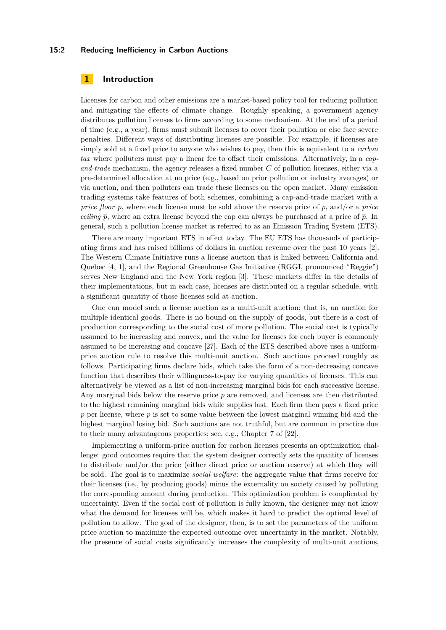## **15:2 Reducing Inefficiency in Carbon Auctions**

# **1 Introduction**

Licenses for carbon and other emissions are a market-based policy tool for reducing pollution and mitigating the effects of climate change. Roughly speaking, a government agency distributes pollution licenses to firms according to some mechanism. At the end of a period of time (e.g., a year), firms must submit licenses to cover their pollution or else face severe penalties. Different ways of distributing licenses are possible. For example, if licenses are simply sold at a fixed price to anyone who wishes to pay, then this is equivalent to a *carbon tax* where polluters must pay a linear fee to offset their emissions. Alternatively, in a *capand-trade* mechanism, the agency releases a fixed number *C* of pollution licenses, either via a pre-determined allocation at no price (e.g., based on prior pollution or industry averages) or via auction, and then polluters can trade these licenses on the open market. Many emission trading systems take features of both schemes, combining a cap-and-trade market with a *price floor p*, where each license must be sold above the reserve price of *p*, and/or a *price ceiling*  $\bar{p}$ , where an extra license beyond the cap can always be purchased at a price of  $\bar{p}$ . In general, such a pollution license market is referred to as an Emission Trading System (ETS).

There are many important ETS in effect today. The EU ETS has thousands of participating firms and has raised billions of dollars in auction revenue over the past 10 years [\[2\]](#page-14-0). The Western Climate Initiative runs a license auction that is linked between California and Quebec [\[4,](#page-14-1) [1\]](#page-14-2), and the Regional Greenhouse Gas Initiative (RGGI, pronounced "Reggie") serves New England and the New York region [\[3\]](#page-14-3). These markets differ in the details of their implementations, but in each case, licenses are distributed on a regular schedule, with a significant quantity of those licenses sold at auction.

One can model such a license auction as a multi-unit auction; that is, an auction for multiple identical goods. There is no bound on the supply of goods, but there is a cost of production corresponding to the social cost of more pollution. The social cost is typically assumed to be increasing and convex, and the value for licenses for each buyer is commonly assumed to be increasing and concave [\[27\]](#page-15-0). Each of the ETS described above uses a uniformprice auction rule to resolve this multi-unit auction. Such auctions proceed roughly as follows. Participating firms declare bids, which take the form of a non-decreasing concave function that describes their willingness-to-pay for varying quantities of licenses. This can alternatively be viewed as a list of non-increasing marginal bids for each successive license. Any marginal bids below the reserve price *p* are removed, and licenses are then distributed to the highest remaining marginal bids while supplies last. Each firm then pays a fixed price *p* per license, where *p* is set to some value between the lowest marginal winning bid and the highest marginal losing bid. Such auctions are not truthful, but are common in practice due to their many advantageous properties; see, e.g., Chapter 7 of [\[22\]](#page-15-1).

Implementing a uniform-price auction for carbon licenses presents an optimization challenge: good outcomes require that the system designer correctly sets the quantity of licenses to distribute and/or the price (either direct price or auction reserve) at which they will be sold. The goal is to maximize *social welfare*: the aggregate value that firms receive for their licenses (i.e., by producing goods) minus the externality on society caused by polluting the corresponding amount during production. This optimization problem is complicated by uncertainty. Even if the social cost of pollution is fully known, the designer may not know what the demand for licenses will be, which makes it hard to predict the optimal level of pollution to allow. The goal of the designer, then, is to set the parameters of the uniform price auction to maximize the expected outcome over uncertainty in the market. Notably, the presence of social costs significantly increases the complexity of multi-unit auctions,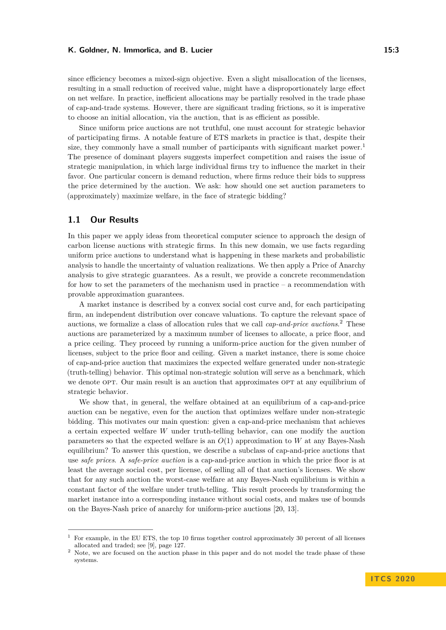since efficiency becomes a mixed-sign objective. Even a slight misallocation of the licenses, resulting in a small reduction of received value, might have a disproportionately large effect on net welfare. In practice, inefficient allocations may be partially resolved in the trade phase of cap-and-trade systems. However, there are significant trading frictions, so it is imperative to choose an initial allocation, via the auction, that is as efficient as possible.

Since uniform price auctions are not truthful, one must account for strategic behavior of participating firms. A notable feature of ETS markets in practice is that, despite their size, they commonly have a small number of participants with significant market power.<sup>[1](#page-2-0)</sup> The presence of dominant players suggests imperfect competition and raises the issue of strategic manipulation, in which large individual firms try to influence the market in their favor. One particular concern is demand reduction, where firms reduce their bids to suppress the price determined by the auction. We ask: how should one set auction parameters to (approximately) maximize welfare, in the face of strategic bidding?

## **1.1 Our Results**

In this paper we apply ideas from theoretical computer science to approach the design of carbon license auctions with strategic firms. In this new domain, we use facts regarding uniform price auctions to understand what is happening in these markets and probabilistic analysis to handle the uncertainty of valuation realizations. We then apply a Price of Anarchy analysis to give strategic guarantees. As a result, we provide a concrete recommendation for how to set the parameters of the mechanism used in practice – a recommendation with provable approximation guarantees.

A market instance is described by a convex social cost curve and, for each participating firm, an independent distribution over concave valuations. To capture the relevant space of auctions, we formalize a class of allocation rules that we call *cap-and-price auctions*. [2](#page-2-1) These auctions are parameterized by a maximum number of licenses to allocate, a price floor, and a price ceiling. They proceed by running a uniform-price auction for the given number of licenses, subject to the price floor and ceiling. Given a market instance, there is some choice of cap-and-price auction that maximizes the expected welfare generated under non-strategic (truth-telling) behavior. This optimal non-strategic solution will serve as a benchmark, which we denote OPT. Our main result is an auction that approximates OPT at any equilibrium of strategic behavior.

We show that, in general, the welfare obtained at an equilibrium of a cap-and-price auction can be negative, even for the auction that optimizes welfare under non-strategic bidding. This motivates our main question: given a cap-and-price mechanism that achieves a certain expected welfare *W* under truth-telling behavior, can one modify the auction parameters so that the expected welfare is an *O*(1) approximation to *W* at any Bayes-Nash equilibrium? To answer this question, we describe a subclass of cap-and-price auctions that use *safe prices*. A *safe-price auction* is a cap-and-price auction in which the price floor is at least the average social cost, per license, of selling all of that auction's licenses. We show that for any such auction the worst-case welfare at any Bayes-Nash equilibrium is within a constant factor of the welfare under truth-telling. This result proceeds by transforming the market instance into a corresponding instance without social costs, and makes use of bounds on the Bayes-Nash price of anarchy for uniform-price auctions [\[20,](#page-15-2) [13\]](#page-15-3).

<span id="page-2-0"></span><sup>1</sup> For example, in the EU ETS, the top 10 firms together control approximately 30 percent of all licenses allocated and traded; see [\[9\]](#page-14-4), page 127.

<span id="page-2-1"></span><sup>&</sup>lt;sup>2</sup> Note, we are focused on the auction phase in this paper and do not model the trade phase of these systems.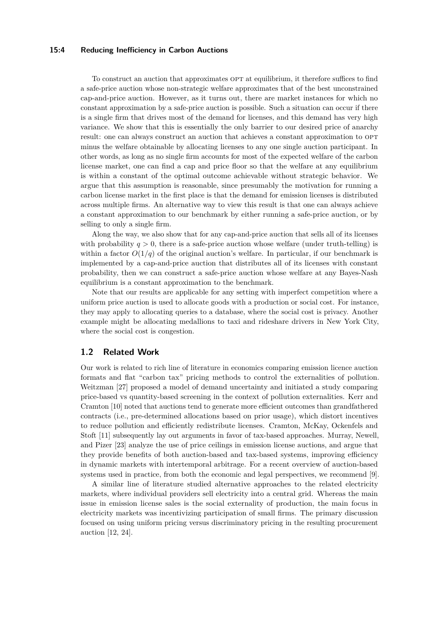## **15:4 Reducing Inefficiency in Carbon Auctions**

To construct an auction that approximates OPT at equilibrium, it therefore suffices to find a safe-price auction whose non-strategic welfare approximates that of the best unconstrained cap-and-price auction. However, as it turns out, there are market instances for which no constant approximation by a safe-price auction is possible. Such a situation can occur if there is a single firm that drives most of the demand for licenses, and this demand has very high variance. We show that this is essentially the only barrier to our desired price of anarchy result: one can always construct an auction that achieves a constant approximation to OPT minus the welfare obtainable by allocating licenses to any one single auction participant. In other words, as long as no single firm accounts for most of the expected welfare of the carbon license market, one can find a cap and price floor so that the welfare at any equilibrium is within a constant of the optimal outcome achievable without strategic behavior. We argue that this assumption is reasonable, since presumably the motivation for running a carbon license market in the first place is that the demand for emission licenses is distributed across multiple firms. An alternative way to view this result is that one can always achieve a constant approximation to our benchmark by either running a safe-price auction, or by selling to only a single firm.

Along the way, we also show that for any cap-and-price auction that sells all of its licenses with probability  $q > 0$ , there is a safe-price auction whose welfare (under truth-telling) is within a factor  $O(1/q)$  of the original auction's welfare. In particular, if our benchmark is implemented by a cap-and-price auction that distributes all of its licenses with constant probability, then we can construct a safe-price auction whose welfare at any Bayes-Nash equilibrium is a constant approximation to the benchmark.

Note that our results are applicable for any setting with imperfect competition where a uniform price auction is used to allocate goods with a production or social cost. For instance, they may apply to allocating queries to a database, where the social cost is privacy. Another example might be allocating medallions to taxi and rideshare drivers in New York City, where the social cost is congestion.

## **1.2 Related Work**

Our work is related to rich line of literature in economics comparing emission licence auction formats and flat "carbon tax" pricing methods to control the externalities of pollution. Weitzman [\[27\]](#page-15-0) proposed a model of demand uncertainty and initiated a study comparing price-based vs quantity-based screening in the context of pollution externalities. Kerr and Cramton [\[10\]](#page-14-5) noted that auctions tend to generate more efficient outcomes than grandfathered contracts (i.e., pre-determined allocations based on prior usage), which distort incentives to reduce pollution and efficiently redistribute licenses. Cramton, McKay, Ockenfels and Stoft [\[11\]](#page-15-4) subsequently lay out arguments in favor of tax-based approaches. Murray, Newell, and Pizer [\[23\]](#page-15-5) analyze the use of price ceilings in emission license auctions, and argue that they provide benefits of both auction-based and tax-based systems, improving efficiency in dynamic markets with intertemporal arbitrage. For a recent overview of auction-based systems used in practice, from both the economic and legal perspectives, we recommend [\[9\]](#page-14-4).

A similar line of literature studied alternative approaches to the related electricity markets, where individual providers sell electricity into a central grid. Whereas the main issue in emission license sales is the social externality of production, the main focus in electricity markets was incentivizing participation of small firms. The primary discussion focused on using uniform pricing versus discriminatory pricing in the resulting procurement auction [\[12,](#page-15-6) [24\]](#page-15-7).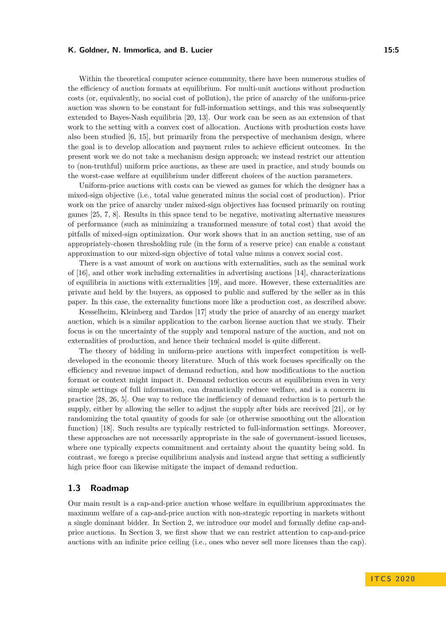Within the theoretical computer science community, there have been numerous studies of the efficiency of auction formats at equilibrium. For multi-unit auctions without production costs (or, equivalently, no social cost of pollution), the price of anarchy of the uniform-price auction was shown to be constant for full-information settings, and this was subsequently extended to Bayes-Nash equilibria [\[20,](#page-15-2) [13\]](#page-15-3). Our work can be seen as an extension of that work to the setting with a convex cost of allocation. Auctions with production costs have also been studied [\[6,](#page-14-6) [15\]](#page-15-8), but primarily from the perspective of mechanism design, where the goal is to develop allocation and payment rules to achieve efficient outcomes. In the present work we do not take a mechanism design approach; we instead restrict our attention to (non-truthful) uniform price auctions, as these are used in practice, and study bounds on the worst-case welfare at equilibrium under different choices of the auction parameters.

Uniform-price auctions with costs can be viewed as games for which the designer has a mixed-sign objective (i.e., total value generated minus the social cost of production). Prior work on the price of anarchy under mixed-sign objectives has focused primarily on routing games [\[25,](#page-15-9) [7,](#page-14-7) [8\]](#page-14-8). Results in this space tend to be negative, motivating alternative measures of performance (such as minimizing a transformed measure of total cost) that avoid the pitfalls of mixed-sign optimization. Our work shows that in an auction setting, use of an appropriately-chosen thresholding rule (in the form of a reserve price) can enable a constant approximation to our mixed-sign objective of total value minus a convex social cost.

There is a vast amount of work on auctions with externalities, such as the seminal work of [\[16\]](#page-15-10), and other work including externalities in advertising auctions [\[14\]](#page-15-11), characterizations of equilibria in auctions with externalities [\[19\]](#page-15-12), and more. However, these externalities are private and held by the buyers, as opposed to public and suffered by the seller as in this paper. In this case, the externality functions more like a production cost, as described above.

Kesselheim, Kleinberg and Tardos [\[17\]](#page-15-13) study the price of anarchy of an energy market auction, which is a similar application to the carbon license auction that we study. Their focus is on the uncertainty of the supply and temporal nature of the auction, and not on externalities of production, and hence their technical model is quite different.

The theory of bidding in uniform-price auctions with imperfect competition is welldeveloped in the economic theory literature. Much of this work focuses specifically on the efficiency and revenue impact of demand reduction, and how modifications to the auction format or context might impact it. Demand reduction occurs at equilibrium even in very simple settings of full information, can dramatically reduce welfare, and is a concern in practice [\[28,](#page-15-14) [26,](#page-15-15) [5\]](#page-14-9). One way to reduce the inefficiency of demand reduction is to perturb the supply, either by allowing the seller to adjust the supply after bids are received [\[21\]](#page-15-16), or by randomizing the total quantity of goods for sale (or otherwise smoothing out the allocation function) [\[18\]](#page-15-17). Such results are typically restricted to full-information settings. Moreover, these approaches are not necessarily appropriate in the sale of government-issued licenses, where one typically expects commitment and certainty about the quantity being sold. In contrast, we forego a precise equilibrium analysis and instead argue that setting a sufficiently high price floor can likewise mitigate the impact of demand reduction.

## **1.3 Roadmap**

Our main result is a cap-and-price auction whose welfare in equilibrium approximates the maximum welfare of a cap-and-price auction with non-strategic reporting in markets without a single dominant bidder. In Section [2,](#page-5-0) we introduce our model and formally define cap-andprice auctions. In Section [3,](#page-6-0) we first show that we can restrict attention to cap-and-price auctions with an infinite price ceiling (i.e., ones who never sell more licenses than the cap).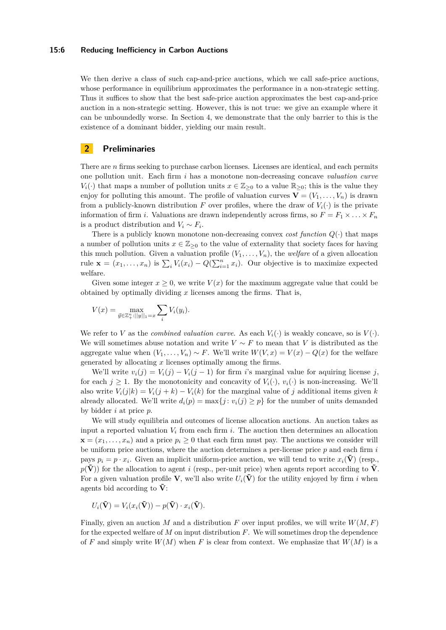## **15:6 Reducing Inefficiency in Carbon Auctions**

We then derive a class of such cap-and-price auctions, which we call safe-price auctions, whose performance in equilibrium approximates the performance in a non-strategic setting. Thus it suffices to show that the best safe-price auction approximates the best cap-and-price auction in a non-strategic setting. However, this is not true: we give an example where it can be unboundedly worse. In Section [4,](#page-8-0) we demonstrate that the only barrier to this is the existence of a dominant bidder, yielding our main result.

# <span id="page-5-0"></span>**2 Preliminaries**

There are *n* firms seeking to purchase carbon licenses. Licenses are identical, and each permits one pollution unit. Each firm *i* has a monotone non-decreasing concave *valuation curve*  $V_i(\cdot)$  that maps a number of pollution units  $x \in \mathbb{Z}_{\geq 0}$  to a value  $\mathbb{R}_{\geq 0}$ ; this is the value they enjoy for polluting this amount. The profile of valuation curves  $\mathbf{V} = (V_1, \ldots, V_n)$  is drawn from a publicly-known distribution *F* over profiles, where the draw of  $V_i(\cdot)$  is the private information of firm *i*. Valuations are drawn independently across firms, so  $F = F_1 \times \ldots \times F_n$ is a product distribution and  $V_i \sim F_i$ .

There is a publicly known monotone non-decreasing convex *cost function*  $Q(\cdot)$  that maps a number of pollution units  $x \in \mathbb{Z}_{\geq 0}$  to the value of externality that society faces for having this much pollution. Given a valuation profile  $(V_1, \ldots, V_n)$ , the *welfare* of a given allocation rule  $\mathbf{x} = (x_1, \ldots, x_n)$  is  $\sum_i V_i(x_i) - Q(\sum_{i=1}^n x_i)$ . Our objective is to maximize expected welfare.

Given some integer  $x \geq 0$ , we write  $V(x)$  for the maximum aggregate value that could be obtained by optimally dividing *x* licenses among the firms. That is,

$$
V(x) = \max_{\vec{y} \in \mathbb{Z}_+^n : ||y||_1 = x} \sum_i V_i(y_i).
$$

We refer to *V* as the *combined valuation curve*. As each  $V_i(\cdot)$  is weakly concave, so is  $V(\cdot)$ . We will sometimes abuse notation and write  $V \sim F$  to mean that *V* is distributed as the aggregate value when  $(V_1, \ldots, V_n) \sim F$ . We'll write  $W(V, x) = V(x) - Q(x)$  for the welfare generated by allocating *x* licenses optimally among the firms.

We'll write  $v_i(j) = V_i(j) - V_i(j-1)$  for firm *i*'s marginal value for aquiring license *j*, for each  $j \geq 1$ . By the monotonicity and concavity of  $V_i(\cdot)$ ,  $v_i(\cdot)$  is non-increasing. We'll also write  $V_i(j|k) = V_i(j+k) - V_i(k)$  for the marginal value of *j* additional items given *k* already allocated. We'll write  $d_i(p) = \max\{j : v_i(j) \geq p\}$  for the number of units demanded by bidder *i* at price *p*.

We will study equilibria and outcomes of license allocation auctions. An auction takes as input a reported valuation  $V_i$  from each firm  $i$ . The auction then determines an allocation  $\mathbf{x} = (x_1, \ldots, x_n)$  and a price  $p_i \geq 0$  that each firm must pay. The auctions we consider will be uniform price auctions, where the auction determines a per-license price *p* and each firm *i* pays  $p_i = p \cdot x_i$ . Given an implicit uniform-price auction, we will tend to write  $x_i(\tilde{\mathbf{V}})$  (resp.,  $p(\tilde{V})$  for the allocation to agent *i* (resp., per-unit price) when agents report according to  $\tilde{V}$ . For a given valuation profile **V**, we'll also write  $U_i(\tilde{V})$  for the utility enjoyed by firm *i* when agents bid according to  $\tilde{\mathbf{V}}$ :

$$
U_i(\tilde{\mathbf{V}}) = V_i(x_i(\tilde{\mathbf{V}})) - p(\tilde{\mathbf{V}}) \cdot x_i(\tilde{\mathbf{V}}).
$$

Finally, given an auction *M* and a distribution *F* over input profiles, we will write  $W(M, F)$ for the expected welfare of *M* on input distribution *F*. We will sometimes drop the dependence of *F* and simply write  $W(M)$  when *F* is clear from context. We emphasize that  $W(M)$  is a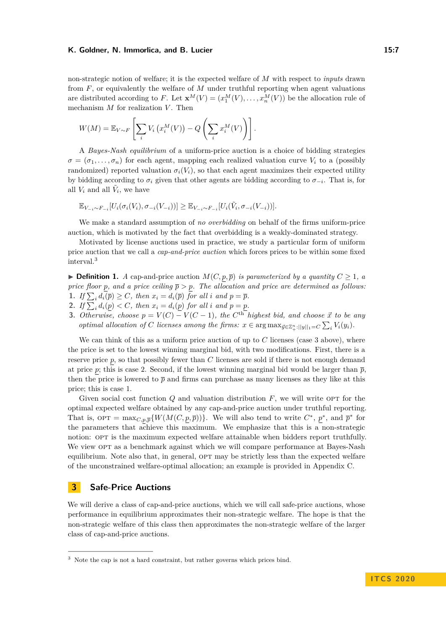## K. Goldner, N. Immorlica, and B. Lucier 15:7**11. Example 20 and 20 and 20 and 20 and 20 and 20 and 20 and 20 and 20 and 20 and 20 and 20 and 20 and 20 and 20 and 20 and 20 and 20 and 20 and 20 and 20 and 20 and 20 and 20 a**

non-strategic notion of welfare; it is the expected welfare of *M* with respect to *inputs* drawn from *F*, or equivalently the welfare of *M* under truthful reporting when agent valuations are distributed according to F. Let  $\mathbf{x}^M(V) = (x_1^M(V), \dots, x_n^M(V))$  be the allocation rule of mechanism *M* for realization *V* . Then

$$
W(M) = \mathbb{E}_{V \sim F} \left[ \sum_{i} V_i \left( x_i^M(V) \right) - Q \left( \sum_{i} x_i^M(V) \right) \right].
$$

A *Bayes-Nash equilibrium* of a uniform-price auction is a choice of bidding strategies  $\sigma = (\sigma_1, \ldots, \sigma_n)$  for each agent, mapping each realized valuation curve  $V_i$  to a (possibly randomized) reported valuation  $\sigma_i(V_i)$ , so that each agent maximizes their expected utility by bidding according to  $\sigma_i$  given that other agents are bidding according to  $\sigma_{-i}$ . That is, for all  $V_i$  and all  $\tilde{V}_i$ , we have

$$
\mathbb{E}_{V_{-i} \sim F_{-i}}[U_i(\sigma_i(V_i), \sigma_{-i}(V_{-i}))] \geq \mathbb{E}_{V_{-i} \sim F_{-i}}[U_i(\tilde{V}_i, \sigma_{-i}(V_{-i}))].
$$

We make a standard assumption of *no overbidding* on behalf of the firms uniform-price auction, which is motivated by the fact that overbidding is a weakly-dominated strategy.

Motivated by license auctions used in practice, we study a particular form of uniform price auction that we call a *cap-and-price auction* which forces prices to be within some fixed interval.[3](#page-6-1)

<span id="page-6-5"></span>▶ **Definition 1.** *A* cap-and-price auction  $M(C, p, \overline{p})$  *is parameterized by a quantity*  $C \ge 1$ *, a price floor p, and a price ceiling*  $\bar{p} > p$ *. The allocation and price are determined as follows:* **1.** If  $\sum_i d_i(\overline{p}) \geq C$ , then  $x_i = d_i(\overline{p})$  for all *i* and  $p = \overline{p}$ .

- <span id="page-6-4"></span><span id="page-6-3"></span>**2.** If  $\sum_i d_i(p) < C$ , then  $x_i = d_i(p)$  for all *i* and  $p = p$ .
- <span id="page-6-2"></span>**3.** *Otherwise, choose*  $p = V(C) - V(C - 1)$ *, the*  $C<sup>th</sup>$  *highest bid, and choose*  $\vec{x}$  *to be any optimal allocation of C licenses among the firms:*  $x \in \arg \max_{\vec{y} \in \mathbb{Z}_{+}^{n} : ||y||_{1} = C} \sum_{i} V_{i}(y_{i}).$

We can think of this as a uniform price auction of up to *C* licenses (case [3](#page-6-2) above), where the price is set to the lowest winning marginal bid, with two modifications. First, there is a reserve price *p*, so that possibly fewer than *C* licenses are sold if there is not enough demand at price *p*; this is case [2.](#page-6-3) Second, if the lowest winning marginal bid would be larger than  $\bar{p}$ , then the price is lowered to  $\bar{p}$  and firms can purchase as many licenses as they like at this price; this is case [1.](#page-6-4)

Given social cost function *Q* and valuation distribution *F*, we will write OPT for the optimal expected welfare obtained by any cap-and-price auction under truthful reporting. That is,  $\text{OPT} = \max_{C, p, \overline{p}} \{ W(M(C, p, \overline{p})) \}.$  We will also tend to write  $C^*$ ,  $p^*$ , and  $\overline{p}^*$  for the parameters that achieve this maximum. We emphasize that this is a non-strategic notion: OPT is the maximum expected welfare attainable when bidders report truthfully. We view OPT as a benchmark against which we will compare performance at Bayes-Nash equilibrium. Note also that, in general, OPT may be strictly less than the expected welfare of the unconstrained welfare-optimal allocation; an example is provided in Appendix [C.](#page-18-0)

# <span id="page-6-0"></span>**3 Safe-Price Auctions**

We will derive a class of cap-and-price auctions, which we will call safe-price auctions, whose performance in equilibrium approximates their non-strategic welfare. The hope is that the non-strategic welfare of this class then approximates the non-strategic welfare of the larger class of cap-and-price auctions.

<span id="page-6-1"></span><sup>3</sup> Note the cap is not a hard constraint, but rather governs which prices bind.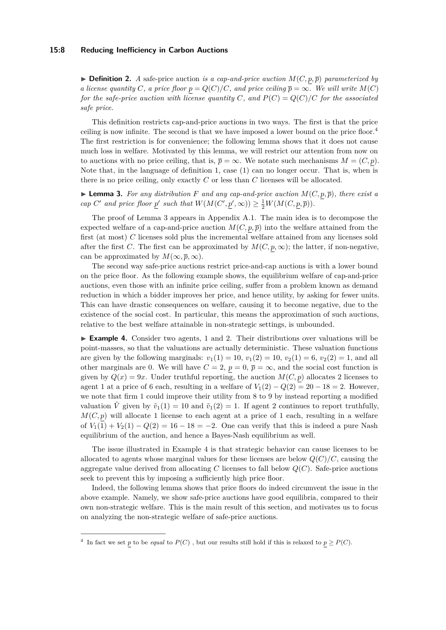## **15:8 Reducing Inefficiency in Carbon Auctions**

 $\triangleright$  **Definition 2.** *A* safe-price auction *is a cap-and-price auction*  $M(C, p, \overline{p})$  *parameterized by a license quantity C*, *a price floor*  $p = Q(C)/C$ *, and price ceiling*  $\overline{p} = \infty$ *. We will write*  $M(C)$ *for the safe-price auction with license quantity C, and*  $P(C) = Q(C)/C$  *for the associated safe price.*

This definition restricts cap-and-price auctions in two ways. The first is that the price ceiling is now infinite. The second is that we have imposed a lower bound on the price floor.<sup>[4](#page-7-0)</sup> The first restriction is for convenience; the following lemma shows that it does not cause much loss in welfare. Motivated by this lemma, we will restrict our attention from now on to auctions with no price ceiling, that is,  $\bar{p} = \infty$ . We notate such mechanisms  $M = (C, p)$ . Note that, in the language of definition [1,](#page-6-5) case [\(1\)](#page-6-4) can no longer occur. That is, when is there is no price ceiling, only exactly *C* or less than *C* licenses will be allocated.

<span id="page-7-1"></span> $\blacktriangleright$  **Lemma 3.** For any distribution F and any cap-and-price auction  $M(C, p, \overline{p})$ , there exist a *cap*  $C'$  *and price floor*  $\underline{p}'$  *such that*  $W(M(C', \underline{p}', \infty)) \geq \frac{1}{2}W(M(C, \underline{p}, \overline{p})).$ 

The proof of Lemma [3](#page-7-1) appears in Appendix [A.1.](#page-16-0) The main idea is to decompose the expected welfare of a cap-and-price auction  $M(C, p, \overline{p})$  into the welfare attained from the first (at most) *C* licenses sold plus the incremental welfare attained from any licenses sold after the first *C*. The first can be approximated by  $M(C, p, \infty)$ ; the latter, if non-negative, can be approximated by  $M(\infty, \overline{p}, \infty)$ .

The second way safe-price auctions restrict price-and-cap auctions is with a lower bound on the price floor. As the following example shows, the equilibrium welfare of cap-and-price auctions, even those with an infinite price ceiling, suffer from a problem known as demand reduction in which a bidder improves her price, and hence utility, by asking for fewer units. This can have drastic consequences on welfare, causing it to become negative, due to the existence of the social cost. In particular, this means the approximation of such auctions, relative to the best welfare attainable in non-strategic settings, is unbounded.

<span id="page-7-2"></span>► **Example 4.** Consider two agents, 1 and 2. Their distributions over valuations will be point-masses, so that the valuations are actually deterministic. These valuation functions are given by the following marginals:  $v_1(1) = 10$ ,  $v_1(2) = 10$ ,  $v_2(1) = 6$ ,  $v_2(2) = 1$ , and all other marginals are 0. We will have  $C = 2$ ,  $p = 0$ ,  $\bar{p} = \infty$ , and the social cost function is given by  $Q(x) = 9x$ . Under truthful reporting, the auction  $M(C, p)$  allocates 2 licenses to agent 1 at a price of 6 each, resulting in a welfare of  $V_1(2) - Q(2) = 20 - 18 = 2$ . However, we note that firm 1 could improve their utility from 8 to 9 by instead reporting a modified valuation  $\tilde{V}$  given by  $\tilde{v}_1(1) = 10$  and  $\tilde{v}_1(2) = 1$ . If agent 2 continues to report truthfully,  $M(C, p)$  will allocate 1 license to each agent at a price of 1 each, resulting in a welfare of  $V_1(1) + V_2(1) - Q(2) = 16 - 18 = -2$ . One can verify that this is indeed a pure Nash equilibrium of the auction, and hence a Bayes-Nash equilibrium as well.

The issue illustrated in Example [4](#page-7-2) is that strategic behavior can cause licenses to be allocated to agents whose marginal values for these licenses are below  $Q(C)/C$ , causing the aggregate value derived from allocating *C* licenses to fall below *Q*(*C*). Safe-price auctions seek to prevent this by imposing a sufficiently high price floor.

Indeed, the following lemma shows that price floors do indeed circumvent the issue in the above example. Namely, we show safe-price auctions have good equilibria, compared to their own non-strategic welfare. This is the main result of this section, and motivates us to focus on analyzing the non-strategic welfare of safe-price auctions.

<span id="page-7-3"></span><span id="page-7-0"></span><sup>&</sup>lt;sup>4</sup> In fact we set *p* to be *equal* to  $P(C)$ , but our results still hold if this is relaxed to  $p \geq P(C)$ .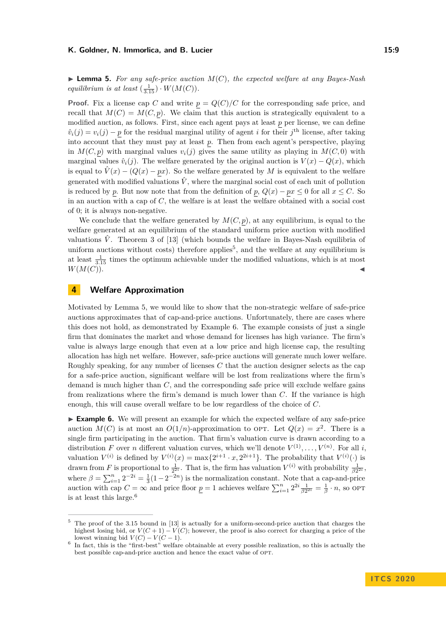**Lemma 5.** For any safe-price auction  $M(C)$ , the expected welfare at any Bayes-Nash *equilibrium is at least*  $\left(\frac{1}{3.15}\right) \cdot W(M(C)).$ 

**Proof.** Fix a license cap *C* and write  $p = Q(C)/C$  for the corresponding safe price, and recall that  $M(C) = M(C, p)$ . We claim that this auction is strategically equivalent to a modified auction, as follows. First, since each agent pays at least *p* per license, we can define  $\hat{v}_i(j) = v_i(j) - p$  for the residual marginal utility of agent *i* for their *j*<sup>th</sup> license, after taking into account that they must pay at least *p*. Then from each agent's perspective, playing in  $M(C, p)$  with marginal values  $v_i(j)$  gives the same utility as playing in  $M(C, 0)$  with marginal values  $\hat{v}_i(j)$ . The welfare generated by the original auction is  $V(x) - Q(x)$ , which is equal to  $\hat{V}(x) - (Q(x) - px)$ . So the welfare generated by *M* is equivalent to the welfare generated with modified valuations  $\hat{V}$ , where the marginal social cost of each unit of pollution is reduced by *p*. But now note that from the definition of *p*,  $Q(x) - px \leq 0$  for all  $x \leq C$ . So in an auction with a cap of *C*, the welfare is at least the welfare obtained with a social cost of 0; it is always non-negative.

We conclude that the welfare generated by  $M(C, p)$ , at any equilibrium, is equal to the welfare generated at an equilibrium of the standard uniform price auction with modified valuations  $\hat{V}$ . Theorem 3 of [\[13\]](#page-15-3) (which bounds the welfare in Bayes-Nash equilibria of uniform auctions without costs) therefore applies<sup>[5](#page-8-1)</sup>, and the welfare at any equilibrium is at least  $\frac{1}{3.15}$  times the optimum achievable under the modified valuations, which is at most  $W(M(C)).$ 

# <span id="page-8-0"></span>**4 Welfare Approximation**

Motivated by Lemma [5,](#page-7-3) we would like to show that the non-strategic welfare of safe-price auctions approximates that of cap-and-price auctions. Unfortunately, there are cases where this does not hold, as demonstrated by Example [6.](#page-8-2) The example consists of just a single firm that dominates the market and whose demand for licenses has high variance. The firm's value is always large enough that even at a low price and high license cap, the resulting allocation has high net welfare. However, safe-price auctions will generate much lower welfare. Roughly speaking, for any number of licenses *C* that the auction designer selects as the cap for a safe-price auction, significant welfare will be lost from realizations where the firm's demand is much higher than *C*, and the corresponding safe price will exclude welfare gains from realizations where the firm's demand is much lower than *C*. If the variance is high enough, this will cause overall welfare to be low regardless of the choice of *C*.

<span id="page-8-2"></span>► **Example 6.** We will present an example for which the expected welfare of any safe-price auction  $M(C)$  is at most an  $O(1/n)$ -approximation to OPT. Let  $Q(x) = x^2$ . There is a single firm participating in the auction. That firm's valuation curve is drawn according to a distribution *F* over *n* different valuation curves, which we'll denote  $V^{(1)}, \ldots, V^{(n)}$ . For all *i*, valuation  $V^{(i)}$  is defined by  $V^{(i)}(x) = \max\{2^{i+1} \cdot x, 2^{2i+1}\}\$ . The probability that  $V^{(i)}(\cdot)$  is drawn from *F* is proportional to  $\frac{1}{2^{2i}}$ . That is, the firm has valuation  $V^{(i)}$  with probability  $\frac{1}{\beta 2^{2i}}$ , where  $\beta = \sum_{i=1}^{n} 2^{-2i} = \frac{1}{3}(1-2^{-2n})$  is the normalization constant. Note that a cap-and-price auction with cap  $C = \infty$  and price floor  $\underline{p} = 1$  achieves welfare  $\sum_{i=1}^{n} 2^{2i} \frac{1}{\beta 2^{2i}} = \frac{1}{\beta} \cdot n$ , so OPT is at least this large.[6](#page-8-3)

<span id="page-8-1"></span><sup>5</sup> The proof of the 3.15 bound in [\[13\]](#page-15-3) is actually for a uniform-second-price auction that charges the highest losing bid, or  $V(C+1) - V(C)$ ; however, the proof is also correct for charging a price of the lowest winning bid  $V(C) - V(C-1)$ .

<span id="page-8-3"></span><sup>&</sup>lt;sup>6</sup> In fact, this is the "first-best" welfare obtainable at every possible realization, so this is actually the best possible cap-and-price auction and hence the exact value of OPT.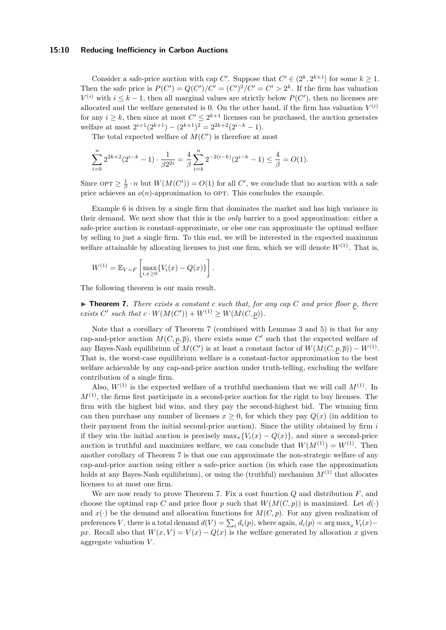## **15:10 Reducing Inefficiency in Carbon Auctions**

Consider a safe-price auction with cap *C'*. Suppose that  $C' \in (2^k, 2^{k+1}]$  for some  $k \geq 1$ . Then the safe price is  $P(C') = Q(C')/C' = (C')^2/C' = C' > 2^k$ . If the firm has valuation  $V^{(i)}$  with  $i \leq k-1$ , then all marginal values are strictly below  $P(C')$ , then no licenses are allocated and the welfare generated is 0. On the other hand, if the firm has valuation  $V^{(i)}$ for any  $i \geq k$ , then since at most  $C' \leq 2^{k+1}$  licenses can be purchased, the auction generates welfare at most  $2^{i+1}(2^{k+1}) - (2^{k+1})^2 = 2^{2k+2}(2^{i-k}-1)$ .

The total expected welfare of  $M(C')$  is therefore at most

$$
\sum_{i=k}^{n} 2^{2k+2} (2^{i-k} - 1) \cdot \frac{1}{\beta 2^{2i}} = \frac{4}{\beta} \sum_{i=k}^{n} 2^{-2(i-k)} (2^{i-k} - 1) \le \frac{4}{\beta} = O(1).
$$

Since  $\text{OPT} \geq \frac{1}{\beta} \cdot n$  but  $W(M(C')) = O(1)$  for all *C*', we conclude that no auction with a safe price achieves an  $o(n)$ -approximation to OPT. This concludes the example.

Example [6](#page-8-2) is driven by a single firm that dominates the market and has high variance in their demand. We next show that this is the *only* barrier to a good approximation: either a safe-price auction is constant-approximate, or else one can approximate the optimal welfare by selling to just a single firm. To this end, we will be interested in the expected maximum welfare attainable by allocating licenses to just one firm, which we will denote  $W^{(1)}$ . That is,

$$
W^{(1)} = \mathbb{E}_{V \sim F} \left[ \max_{i, x \geq 0} \{ V_i(x) - Q(x) \} \right].
$$

<span id="page-9-0"></span>The following theorem is our main result.

▶ **Theorem 7.** *There exists a constant c such that, for any cap C* and price floor *p, there exists*  $C'$  *such that*  $c \cdot W(M(C')) + W^{(1)} \geq W(M(C, p)).$ 

Note that a corollary of Theorem [7](#page-9-0) (combined with Lemmas [3](#page-7-1) and [5\)](#page-7-3) is that for any cap-and-price auction  $M(C, p, \overline{p})$ , there exists some C' such that the expected welfare of any Bayes-Nash equilibrium of  $M(C')$  is at least a constant factor of  $W(M(C, p, \overline{p})) - W^{(1)}$ . That is, the worst-case equilibrium welfare is a constant-factor approximation to the best welfare achievable by any cap-and-price auction under truth-telling, excluding the welfare contribution of a single firm.

Also,  $W^{(1)}$  is the expected welfare of a truthful mechanism that we will call  $M^{(1)}$ . In  $M^{(1)}$ , the firms first participate in a second-price auction for the right to buy licenses. The firm with the highest bid wins, and they pay the second-highest bid. The winning firm can then purchase any number of licenses  $x \geq 0$ , for which they pay  $Q(x)$  (in addition to their payment from the initial second-price auction). Since the utility obtained by firm *i* if they win the initial auction is precisely  $\max_x \{V_i(x) - Q(x)\}\)$ , and since a second-price auction is truthful and maximizes welfare, we can conclude that  $W(M^{(1)}) = W^{(1)}$ . Then another corollary of Theorem [7](#page-9-0) is that one can approximate the non-strategic welfare of any cap-and-price auction using either a safe-price auction (in which case the approximation holds at any Bayes-Nash equliibrium), or using the (truthful) mechanism  $M^{(1)}$  that allocates licenses to at most one firm.

We are now ready to prove Theorem [7.](#page-9-0) Fix a cost function *Q* and distribution *F*, and choose the optimal cap *C* and price floor *p* such that  $W(M(C, p))$  is maximized. Let  $d(\cdot)$ and  $x(\cdot)$  be the demand and allocation functions for  $M(C, p)$ . For any given realization of preferences *V*, there is a total demand  $d(V) = \sum_i d_i(p)$ , where again,  $d_i(p) = \arg \max_x V_i(x)$ *px*. Recall also that  $W(x, V) = V(x) - Q(x)$  is the welfare generated by allocation *x* given aggregate valuation *V* .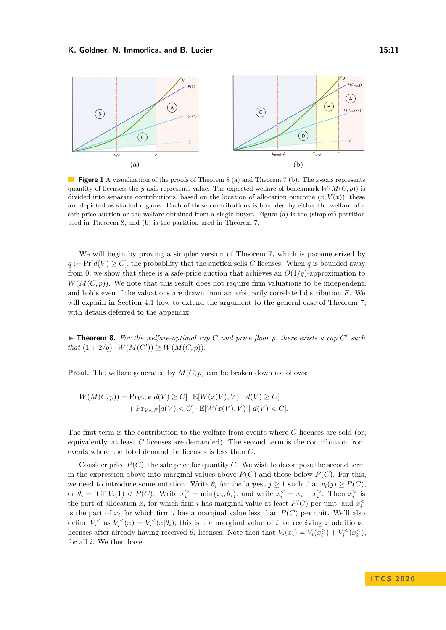<span id="page-10-1"></span>

**Figure 1** A visualization of the proofs of Theorem [8](#page-10-0) (a) and Theorem [7](#page-9-0) (b). The *x*-axis represents quantity of licenses; the *y*-axis represents value. The expected welfare of benchmark  $W(M(C, p))$  is divided into separate contributions, based on the location of allocation outcome  $(x, V(x))$ ; these are depicted as shaded regions. Each of these contributions is bounded by either the welfare of a safe-price auction or the welfare obtained from a single buyer. Figure (a) is the (simpler) partition used in Theorem [8,](#page-10-0) and (b) is the partition used in Theorem [7.](#page-9-0)

We will begin by proving a simpler version of Theorem [7,](#page-9-0) which is parameterized by  $q := \Pr[d(V) \geq C]$ , the probability that the auction sells *C* licenses. When *q* is bounded away from 0, we show that there is a safe-price auction that achieves an  $O(1/q)$ -approximation to  $W(M(C, p))$ . We note that this result does not require firm valuations to be independent, and holds even if the valuations are drawn from an arbitrarily correlated distribution *F*. We will explain in Section [4.1](#page-13-0) how to extend the argument to the general case of Theorem [7,](#page-9-0) with details deferred to the appendix.

<span id="page-10-0"></span>**Theorem 8.** For the welfare-optimal cap C and price floor p, there exists a cap C' such *that*  $(1 + 2/q) \cdot W(M(C')) \geq W(M(C, p)).$ 

**Proof.** The welfare generated by  $M(C, p)$  can be broken down as follows:

$$
W(M(C,p)) = \Pr_{V \sim F}[d(V) \ge C] \cdot \mathbb{E}[W(x(V), V) \mid d(V) \ge C] + \Pr_{V \sim F}[d(V) < C] \cdot \mathbb{E}[W(x(V), V) \mid d(V) < C].
$$

The first term is the contribution to the welfare from events where *C* licenses are sold (or, equivalently, at least *C* licenses are demanded). The second term is the contribution from events where the total demand for licenses is less than *C*.

Consider price  $P(C)$ , the safe price for quantity *C*. We wish to decompose the second term in the expression above into marginal values above  $P(C)$  and those below  $P(C)$ . For this, we need to introduce some notation. Write  $\theta_i$  for the largest  $j \geq 1$  such that  $v_i(j) \geq P(C)$ , or  $\theta_i = 0$  if  $V_i(1) < P(C)$ . Write  $x_i^> = \min\{x_i, \theta_i\}$ , and write  $x_i^< = x_i - x_i^>$ . Then  $x_i^>$  is the part of allocation  $x_i$  for which firm *i* has marginal value at least  $P(C)$  per unit, and  $x_i^{\leq}$ is the part of  $x_i$  for which firm  $i$  has a marginal value less than  $P(C)$  per unit. We'll also define  $V_i^{\le}$  as  $V_i^{\le}(x) = V_i^{\le}(x|\theta_i)$ ; this is the marginal value of *i* for receiving *x* additional licenses after already having received  $\theta_i$  licenses. Note then that  $V_i(x_i) = V_i(x_i^>) + V_i^<(x_i^*)$ , for all *i*. We then have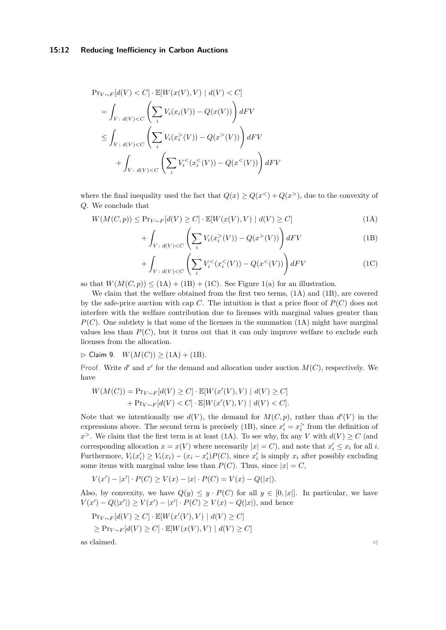$$
\Pr_{V \sim F}[d(V) < C] \cdot \mathbb{E}[W(x(V), V) \mid d(V) < C]
$$
\n
$$
= \int_{V \colon d(V) < C} \left( \sum_{i} V_i(x_i(V)) - Q(x(V)) \right) dF V
$$
\n
$$
\leq \int_{V \colon d(V) < C} \left( \sum_{i} V_i(x_i^>(V)) - Q(x^>(V)) \right) dF V
$$
\n
$$
+ \int_{V \colon d(V) < C} \left( \sum_{i} V_i^<(x_i^<(V)) - Q(x^<(V)) \right) dF V
$$

where the final inequality used the fact that  $Q(x) \ge Q(x^2) + Q(x^3)$ , due to the convexity of *Q*. We conclude that

$$
W(M(C, p)) \le \Pr_{V \sim F}[d(V) \ge C] \cdot \mathbb{E}[W(x(V), V) \mid d(V) \ge C]
$$
\n(1A)

<span id="page-11-1"></span><span id="page-11-0"></span>
$$
+ \int_{V \,:\, d(V) < C} \left( \sum_{i} V_i(x_i^>(V)) - Q(x^>(V)) \right) dF V \tag{1B}
$$

<span id="page-11-2"></span>
$$
+ \int_{V \,:\, d(V) < C} \left( \sum_{i} V_{i}^{<}(x_{i}^{<}(V)) - Q(x^{<}(V)) \right) dF V \tag{1C}
$$

so that  $W(M(C, p)) \leq (1A) + (1B) + (1C)$  $W(M(C, p)) \leq (1A) + (1B) + (1C)$  $W(M(C, p)) \leq (1A) + (1B) + (1C)$  $W(M(C, p)) \leq (1A) + (1B) + (1C)$  $W(M(C, p)) \leq (1A) + (1B) + (1C)$  $W(M(C, p)) \leq (1A) + (1B) + (1C)$ . See Figure [1\(](#page-10-1)a) for an illustration.

We claim that the welfare obtained from the first two terms,  $(1A)$  and  $(1B)$ , are covered by the safe-price auction with cap  $C$ . The intuition is that a price floor of  $P(C)$  does not interfere with the welfare contribution due to licenses with marginal values greater than  $P(C)$ . One subtlety is that some of the licenses in the summation [\(1A\)](#page-11-0) might have marginal values less than  $P(C)$ , but it turns out that it can only improve welfare to exclude such licenses from the allocation.

<span id="page-11-3"></span> $\triangleright$  Claim 9. *W*(*M*(*C*)) ≥ [\(1A\)](#page-11-0) + [\(1B\)](#page-11-1).

Proof. Write  $d'$  and  $x'$  for the demand and allocation under auction  $M(C)$ , respectively. We have

$$
W(M(C)) = \Pr_{V \sim F}[d(V) \ge C] \cdot \mathbb{E}[W(x'(V), V) | d(V) \ge C] + \Pr_{V \sim F}[d(V) < C] \cdot \mathbb{E}[W(x'(V), V) | d(V) < C].
$$

Note that we intentionally use  $d(V)$ , the demand for  $M(C, p)$ , rather than  $d'(V)$  in the expressions above. The second term is precisely [\(1B\)](#page-11-1), since  $x_i' = x_i^>$  from the definition of *x*<sup>></sup>. We claim that the first term is at least [\(1A\)](#page-11-0). To see why, fix any *V* with  $d(V) \ge C$  (and corresponding allocation  $x = x(V)$  where necessarily  $|x| = C$ ), and note that  $x_i' \leq x_i$  for all *i*. Furthermore,  $V_i(x'_i) \ge V_i(x_i) - (x_i - x'_i)P(C)$ , since  $x'_i$  is simply  $x_i$  after possibly excluding some items with marginal value less than  $P(C)$ . Thus, since  $|x| = C$ ,

$$
V(x') - |x'| \cdot P(C) \ge V(x) - |x| \cdot P(C) = V(x) - Q(|x|).
$$

Also, by convexity, we have  $Q(y) \leq y \cdot P(C)$  for all  $y \in [0, |x|]$ . In particular, we have  $V(x') - Q(|x'|) \ge V(x') - |x'| \cdot P(C) \ge V(x) - Q(|x|)$ , and hence

$$
\Pr_{V \sim F}[d(V) \ge C] \cdot \mathbb{E}[W(x'(V), V) \mid d(V) \ge C]
$$
  
\n
$$
\ge \Pr_{V \sim F}[d(V) \ge C] \cdot \mathbb{E}[W(x(V), V) \mid d(V) \ge C]
$$

as claimed.  $\triangle$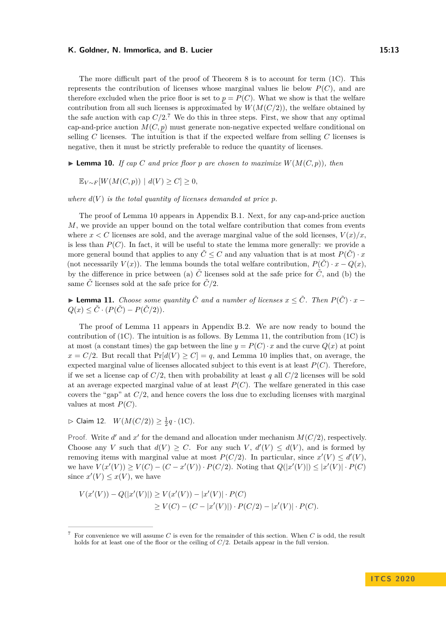The more difficult part of the proof of Theorem [8](#page-10-0) is to account for term [\(1C\)](#page-11-2). This represents the contribution of licenses whose marginal values lie below  $P(C)$ , and are therefore excluded when the price floor is set to  $p = P(C)$ . What we show is that the welfare contribution from all such licenses is approximated by  $W(M(C/2))$ , the welfare obtained by the safe auction with cap  $C/2$ .<sup>[7](#page-12-0)</sup> We do this in three steps. First, we show that any optimal cap-and-price auction  $M(C, p)$  must generate non-negative expected welfare conditional on selling *C* licenses. The intuition is that if the expected welfare from selling *C* licenses is negative, then it must be strictly preferable to reduce the quantity of licenses.

<span id="page-12-1"></span>**Example 10.** If cap C and price floor p are chosen to maximize  $W(M(C, p))$ , then

$$
\mathbb{E}_{V \sim F}[W(M(C, p)) \mid d(V) \ge C] \ge 0,
$$

where  $d(V)$  is the total quantity of licenses demanded at price  $p$ .

The proof of Lemma [10](#page-12-1) appears in Appendix [B.1.](#page-16-1) Next, for any cap-and-price auction *M*, we provide an upper bound on the total welfare contribution that comes from events where  $x < C$  licenses are sold, and the average marginal value of the sold licenses,  $V(x)/x$ . is less than  $P(C)$ . In fact, it will be useful to state the lemma more generally: we provide a more general bound that applies to any  $\tilde{C} \leq C$  and any valuation that is at most  $P(\tilde{C}) \cdot x$ (not necessarily  $V(x)$ ). The lemma bounds the total welfare contribution,  $P(\tilde{C}) \cdot x - Q(x)$ , by the difference in price between (a)  $\tilde{C}$  licenses sold at the safe price for  $\tilde{C}$ , and (b) the same  $\tilde{C}$  licenses sold at the safe price for  $\tilde{C}/2$ .

<span id="page-12-2"></span>► **Lemma 11.** *Choose some quantity*  $\tilde{C}$  *and a number of licenses*  $x \leq \tilde{C}$ *. Then*  $P(\tilde{C}) \cdot x$  −  $Q(x) \leq \tilde{C} \cdot (P(\tilde{C}) - P(\tilde{C}/2)).$ 

The proof of Lemma [11](#page-12-2) appears in Appendix [B.2.](#page-17-0) We are now ready to bound the contribution of  $(1C)$ . The intuition is as follows. By Lemma [11,](#page-12-2) the contribution from  $(1C)$  is at most (a constant times) the gap between the line  $y = P(C) \cdot x$  and the curve  $Q(x)$  at point  $x = C/2$ . But recall that  $Pr[d(V) \ge C] = q$ , and Lemma [10](#page-12-1) implies that, on average, the expected marginal value of licenses allocated subject to this event is at least  $P(C)$ . Therefore, if we set a license cap of  $C/2$ , then with probability at least q all  $C/2$  licenses will be sold at an average expected marginal value of at least  $P(C)$ . The welfare generated in this case covers the "gap" at *C/*2, and hence covers the loss due to excluding licenses with marginal values at most  $P(C)$ .

<span id="page-12-3"></span> $\triangleright$  Claim 12. *W*(*M*(*C*/2)) ≥  $\frac{1}{2}q \cdot (1C)$  $\frac{1}{2}q \cdot (1C)$ .

Proof. Write  $d'$  and  $x'$  for the demand and allocation under mechanism  $M(C/2)$ , respectively. Choose any *V* such that  $d(V) \geq C$ . For any such  $V$ ,  $d'(V) \leq d(V)$ , and is formed by removing items with marginal value at most  $P(C/2)$ . In particular, since  $x'(V) \le d'(V)$ , we have  $V(x'(V)) \ge V(C) - (C - x'(V)) \cdot P(C/2)$ . Noting that  $Q(|x'(V)|) \le |x'(V)| \cdot P(C)$ since  $x'(V) \leq x(V)$ , we have

$$
V(x'(V)) - Q(|x'(V)|) \ge V(x'(V)) - |x'(V)| \cdot P(C)
$$
  
\n
$$
\ge V(C) - (C - |x'(V)|) \cdot P(C/2) - |x'(V)| \cdot P(C).
$$

<span id="page-12-0"></span><sup>7</sup> For convenience we will assume *C* is even for the remainder of this section. When *C* is odd, the result holds for at least one of the floor or the ceiling of *C/*2. Details appear in the full version.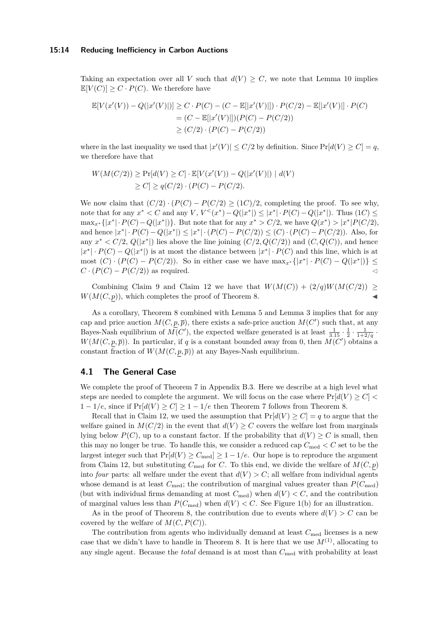#### **15:14 Reducing Inefficiency in Carbon Auctions**

Taking an expectation over all *V* such that  $d(V) \geq C$ , we note that Lemma [10](#page-12-1) implies  $\mathbb{E}[V(C)] \geq C \cdot P(C)$ . We therefore have

$$
\mathbb{E}[V(x'(V)) - Q(|x'(V)|)] \ge C \cdot P(C) - (C - \mathbb{E}[|x'(V)|]) \cdot P(C/2) - \mathbb{E}[|x'(V)|] \cdot P(C)
$$
  
=  $(C - \mathbb{E}[|x'(V)|])(P(C) - P(C/2))$   
 $\ge (C/2) \cdot (P(C) - P(C/2))$ 

where in the last inequality we used that  $|x'(V)| \leq C/2$  by definition. Since  $Pr[d(V) \geq C] = q$ , we therefore have that

$$
W(M(C/2)) \ge \Pr[d(V) \ge C] \cdot \mathbb{E}[V(x'(V)) - Q(|x'(V)|) | d(V)
$$
  
 
$$
\ge C] \ge q(C/2) \cdot (P(C) - P(C/2).
$$

We now claim that  $(C/2) \cdot (P(C) - P(C/2) \ge (1C)/2$ , completing the proof. To see why, note that for any  $x^* < C$  and any *V*,  $V^<(x^*) - Q(|x^*|) \le |x^*| \cdot P(C) - Q(|x^*|)$ . Thus (1*C*) ≤  $\max_{x^*} \{|x^*| \cdot P(C) - Q(|x^*|)\}.$  But note that for any  $x^* > C/2$ , we have  $Q(x^*) > |x^*|P(C/2),$ and hence  $|x^*| \cdot P(C) - Q(|x^*|) \le |x^*| \cdot (P(C) - P(C/2)) \le (C) \cdot (P(C) - P(C/2))$ . Also, for any  $x^* < C/2$ ,  $Q(|x^*|)$  lies above the line joining  $(C/2, Q(C/2))$  and  $(C, Q(C))$ , and hence  $|x^*| \cdot P(C) - Q(|x^*|)$  is at most the distance between  $|x^*| \cdot P(C)$  and this line, which is at most  $(C) \cdot (P(C) - P(C/2))$ . So in either case we have  $\max_{x^*} \{|x^*| \cdot P(C) - Q(|x^*|)\}$  ≤  $C \cdot (P(C) - P(C/2))$  as required.

Combining Claim [9](#page-11-3) and Claim [12](#page-12-3) we have that  $W(M(C)) + (2/q)W(M(C/2)) \ge$  $W(M(C, p))$ , which completes the proof of Theorem [8.](#page-10-0)

As a corollary, Theorem [8](#page-10-0) combined with Lemma [5](#page-7-3) and Lemma [3](#page-7-1) implies that for any cap and price auction  $M(C, p, \overline{p})$ , there exists a safe-price auction  $M(C')$  such that, at any Bayes-Nash equilibrium of  $M(C')$ , the expected welfare generated is at least  $\frac{1}{3.15} \cdot \frac{1}{2} \cdot \frac{1}{1+2/q}$ .  $W(M(C, p, \overline{p}))$ . In particular, if *q* is a constant bounded away from 0, then  $M(C')$  obtains a constant fraction of  $W(M(C, p, \overline{p}))$  at any Bayes-Nash equilibrium.

# <span id="page-13-0"></span>**4.1 The General Case**

We complete the proof of Theorem [7](#page-9-0) in Appendix [B.3.](#page-17-1) Here we describe at a high level what steps are needed to complete the argument. We will focus on the case where  $Pr[d(V) \geq C]$ 1 − 1/e, since if  $Pr[d(V) \ge C] \ge 1 - 1/e$  then Theorem [7](#page-9-0) follows from Theorem [8.](#page-10-0)

Recall that in Claim [12,](#page-12-3) we used the assumption that  $Pr[d(V) \ge C] = q$  to argue that the welfare gained in  $M(C/2)$  in the event that  $d(V) \geq C$  covers the welfare lost from marginals lying below  $P(C)$ , up to a constant factor. If the probability that  $d(V) \geq C$  is small, then this may no longer be true. To handle this, we consider a reduced cap  $C_{\text{med}} < C$  set to be the largest integer such that  $Pr[d(V) > C_{\text{med}}] > 1 - 1/e$ . Our hope is to reproduce the argument from Claim [12,](#page-12-3) but substituting  $C_{\text{med}}$  for *C*. To this end, we divide the welfare of  $M(C, p)$ into *four* parts: all welfare under the event that  $d(V) > C$ ; all welfare from individual agents whose demand is at least  $C_{\text{med}}$ ; the contribution of marginal values greater than  $P(C_{\text{med}})$ (but with individual firms demanding at most  $C_{\text{med}}$ ) when  $d(V) < C$ , and the contribution of marginal values less than  $P(C_{\text{med}})$  when  $d(V) < C$ . See Figure [1\(](#page-10-1)b) for an illustration.

As in the proof of Theorem [8,](#page-10-0) the contribution due to events where  $d(V) > C$  can be covered by the welfare of  $M(C, P(C))$ .

The contribution from agents who individually demand at least  $C_{\text{med}}$  licenses is a new case that we didn't have to handle in Theorem [8.](#page-10-0) It is here that we use  $M^{(1)}$ , allocating to any single agent. Because the *total* demand is at most than *C*med with probability at least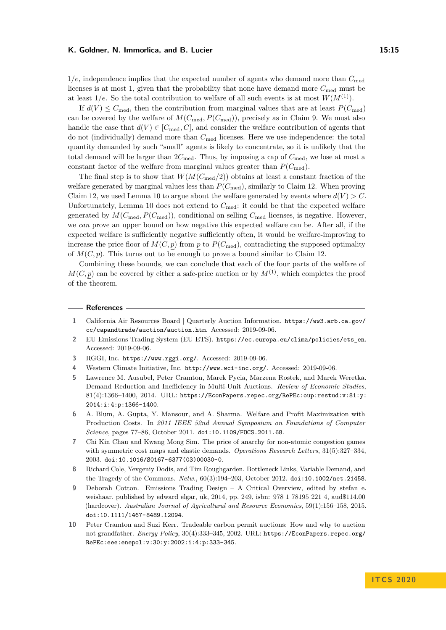1*/e*, independence implies that the expected number of agents who demand more than *C*med licenses is at most 1, given that the probability that none have demand more  $C_{\text{med}}$  must be at least  $1/e$ . So the total contribution to welfare of all such events is at most  $W(M^{(1)})$ .

If  $d(V) \leq C_{\text{med}}$ , then the contribution from marginal values that are at least  $P(C_{\text{med}})$ can be covered by the welfare of  $M(C_{\text{med}}, P(C_{\text{med}}))$ , precisely as in Claim [9.](#page-11-3) We must also handle the case that  $d(V) \in [C_{\text{med}}, C]$ , and consider the welfare contribution of agents that do not (individually) demand more than *C*med licenses. Here we use independence: the total quantity demanded by such "small" agents is likely to concentrate, so it is unlikely that the total demand will be larger than  $2C_{\text{med}}$ . Thus, by imposing a cap of  $C_{\text{med}}$ , we lose at most a constant factor of the welfare from marginal values greater than  $P(C_{\text{med}})$ .

The final step is to show that *W*(*M*(*C*med*/*2)) obtains at least a constant fraction of the welfare generated by marginal values less than  $P(C_{\text{med}})$ , similarly to Claim [12.](#page-12-3) When proving Claim [12,](#page-12-3) we used Lemma [10](#page-12-1) to argue about the welfare generated by events where  $d(V) > C$ . Unfortunately, Lemma [10](#page-12-1) does not extend to  $C_{\text{med}}$ : it could be that the expected welfare generated by  $M(C_{\text{med}}, P(C_{\text{med}}))$ , conditional on selling  $C_{\text{med}}$  licenses, is negative. However, we *can* prove an upper bound on how negative this expected welfare can be. After all, if the expected welfare is sufficiently negative sufficiently often, it would be welfare-improving to increase the price floor of  $M(C, p)$  from p to  $P(C_{\text{med}})$ , contradicting the supposed optimality of  $M(C, p)$ . This turns out to be enough to prove a bound similar to Claim [12.](#page-12-3)

Combining these bounds, we can conclude that each of the four parts of the welfare of  $M(C, p)$  can be covered by either a safe-price auction or by  $M^{(1)}$ , which completes the proof of the theorem.

#### **References**

- <span id="page-14-2"></span>**1** California Air Resources Board | Quarterly Auction Information. [https://ww3.arb.ca.gov/](https://ww3.arb.ca.gov/cc/capandtrade/auction/auction.htm) [cc/capandtrade/auction/auction.htm](https://ww3.arb.ca.gov/cc/capandtrade/auction/auction.htm). Accessed: 2019-09-06.
- <span id="page-14-0"></span>**2** EU Emissions Trading System (EU ETS). [https://ec.europa.eu/clima/policies/ets\\_en](https://ec.europa.eu/clima/policies/ets_en). Accessed: 2019-09-06.
- <span id="page-14-3"></span>**3** RGGI, Inc. <https://www.rggi.org/>. Accessed: 2019-09-06.
- <span id="page-14-1"></span>**4** Western Climate Initiative, Inc. <http://www.wci-inc.org/>. Accessed: 2019-09-06.
- <span id="page-14-9"></span>**5** Lawrence M. Ausubel, Peter Cramton, Marek Pycia, Marzena Rostek, and Marek Weretka. Demand Reduction and Inefficiency in Multi-Unit Auctions. *Review of Economic Studies*, 81(4):1366–1400, 2014. URL: [https://EconPapers.repec.org/RePEc:oup:restud:v:81:y:](https://EconPapers.repec.org/RePEc:oup:restud:v:81:y:2014:i:4:p:1366-1400) [2014:i:4:p:1366-1400](https://EconPapers.repec.org/RePEc:oup:restud:v:81:y:2014:i:4:p:1366-1400).
- <span id="page-14-6"></span>**6** A. Blum, A. Gupta, Y. Mansour, and A. Sharma. Welfare and Profit Maximization with Production Costs. In *2011 IEEE 52nd Annual Symposium on Foundations of Computer Science*, pages 77–86, October 2011. [doi:10.1109/FOCS.2011.68](https://doi.org/10.1109/FOCS.2011.68).
- <span id="page-14-7"></span>**7** Chi Kin Chau and Kwang Mong Sim. The price of anarchy for non-atomic congestion games with symmetric cost maps and elastic demands. *Operations Research Letters*, 31(5):327–334, 2003. [doi:10.1016/S0167-6377\(03\)00030-0](https://doi.org/10.1016/S0167-6377(03)00030-0).
- <span id="page-14-8"></span>**8** Richard Cole, Yevgeniy Dodis, and Tim Roughgarden. Bottleneck Links, Variable Demand, and the Tragedy of the Commons. *Netw.*, 60(3):194–203, October 2012. [doi:10.1002/net.21458](https://doi.org/10.1002/net.21458).
- <span id="page-14-4"></span>**9** Deborah Cotton. Emissions Trading Design – A Critical Overview, edited by stefan e. weishaar. published by edward elgar, uk, 2014, pp. 249, isbn: 978 1 78195 221 4, aud\$114.00 (hardcover). *Australian Journal of Agricultural and Resource Economics*, 59(1):156–158, 2015. [doi:10.1111/1467-8489.12094](https://doi.org/10.1111/1467-8489.12094).
- <span id="page-14-5"></span>**10** Peter Cramton and Suzi Kerr. Tradeable carbon permit auctions: How and why to auction not grandfather. *Energy Policy*, 30(4):333–345, 2002. URL: [https://EconPapers.repec.org/](https://EconPapers.repec.org/RePEc:eee:enepol:v:30:y:2002:i:4:p:333-345) [RePEc:eee:enepol:v:30:y:2002:i:4:p:333-345](https://EconPapers.repec.org/RePEc:eee:enepol:v:30:y:2002:i:4:p:333-345).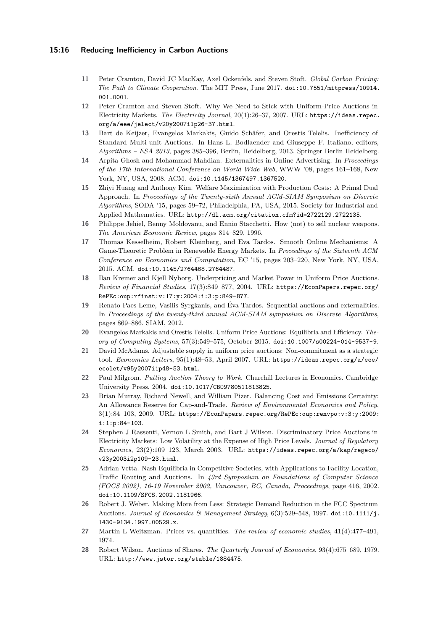## **15:16 Reducing Inefficiency in Carbon Auctions**

- <span id="page-15-4"></span>**11** Peter Cramton, David JC MacKay, Axel Ockenfels, and Steven Stoft. *Global Carbon Pricing: The Path to Climate Cooperation*. The MIT Press, June 2017. [doi:10.7551/mitpress/10914.](https://doi.org/10.7551/mitpress/10914.001.0001) [001.0001](https://doi.org/10.7551/mitpress/10914.001.0001).
- <span id="page-15-6"></span>**12** Peter Cramton and Steven Stoft. Why We Need to Stick with Uniform-Price Auctions in Electricity Markets. *The Electricity Journal*, 20(1):26–37, 2007. URL: [https://ideas.repec.](https://ideas.repec.org/a/eee/jelect/v20y2007i1p26-37.html) [org/a/eee/jelect/v20y2007i1p26-37.html](https://ideas.repec.org/a/eee/jelect/v20y2007i1p26-37.html).
- <span id="page-15-3"></span>**13** Bart de Keijzer, Evangelos Markakis, Guido Schäfer, and Orestis Telelis. Inefficiency of Standard Multi-unit Auctions. In Hans L. Bodlaender and Giuseppe F. Italiano, editors, *Algorithms – ESA 2013*, pages 385–396, Berlin, Heidelberg, 2013. Springer Berlin Heidelberg.
- <span id="page-15-11"></span>**14** Arpita Ghosh and Mohammad Mahdian. Externalities in Online Advertising. In *Proceedings of the 17th International Conference on World Wide Web*, WWW '08, pages 161–168, New York, NY, USA, 2008. ACM. [doi:10.1145/1367497.1367520](https://doi.org/10.1145/1367497.1367520).
- <span id="page-15-8"></span>**15** Zhiyi Huang and Anthony Kim. Welfare Maximization with Production Costs: A Primal Dual Approach. In *Proceedings of the Twenty-sixth Annual ACM-SIAM Symposium on Discrete Algorithms*, SODA '15, pages 59–72, Philadelphia, PA, USA, 2015. Society for Industrial and Applied Mathematics. URL: <http://dl.acm.org/citation.cfm?id=2722129.2722135>.
- <span id="page-15-10"></span>**16** Philippe Jehiel, Benny Moldovanu, and Ennio Stacchetti. How (not) to sell nuclear weapons. *The American Economic Review*, pages 814–829, 1996.
- <span id="page-15-13"></span>**17** Thomas Kesselheim, Robert Kleinberg, and Eva Tardos. Smooth Online Mechanisms: A Game-Theoretic Problem in Renewable Energy Markets. In *Proceedings of the Sixteenth ACM Conference on Economics and Computation*, EC '15, pages 203–220, New York, NY, USA, 2015. ACM. [doi:10.1145/2764468.2764487](https://doi.org/10.1145/2764468.2764487).
- <span id="page-15-17"></span>**18** Ilan Kremer and Kjell Nyborg. Underpricing and Market Power in Uniform Price Auctions. *Review of Financial Studies*, 17(3):849–877, 2004. URL: [https://EconPapers.repec.org/](https://EconPapers.repec.org/RePEc:oup:rfinst:v:17:y:2004:i:3:p:849-877) [RePEc:oup:rfinst:v:17:y:2004:i:3:p:849-877](https://EconPapers.repec.org/RePEc:oup:rfinst:v:17:y:2004:i:3:p:849-877).
- <span id="page-15-12"></span>**19** Renato Paes Leme, Vasilis Syrgkanis, and Éva Tardos. Sequential auctions and externalities. In *Proceedings of the twenty-third annual ACM-SIAM symposium on Discrete Algorithms*, pages 869–886. SIAM, 2012.
- <span id="page-15-2"></span>**20** Evangelos Markakis and Orestis Telelis. Uniform Price Auctions: Equilibria and Efficiency. *Theory of Computing Systems*, 57(3):549–575, October 2015. [doi:10.1007/s00224-014-9537-9](https://doi.org/10.1007/s00224-014-9537-9).
- <span id="page-15-16"></span>**21** David McAdams. Adjustable supply in uniform price auctions: Non-commitment as a strategic tool. *Economics Letters*, 95(1):48–53, April 2007. URL: [https://ideas.repec.org/a/eee/](https://ideas.repec.org/a/eee/ecolet/v95y2007i1p48-53.html) [ecolet/v95y2007i1p48-53.html](https://ideas.repec.org/a/eee/ecolet/v95y2007i1p48-53.html).
- <span id="page-15-1"></span>**22** Paul Milgrom. *Putting Auction Theory to Work*. Churchill Lectures in Economics. Cambridge University Press, 2004. [doi:10.1017/CBO9780511813825](https://doi.org/10.1017/CBO9780511813825).
- <span id="page-15-5"></span>**23** Brian Murray, Richard Newell, and William Pizer. Balancing Cost and Emissions Certainty: An Allowance Reserve for Cap-and-Trade. *Review of Environmental Economics and Policy*,  $3(1):84-103, 2009. \text{ URL: `https://EconPapers.repec.org/RePEC:oup:renypo:v:3:y:2009`:$ [i:1:p:84-103](https://EconPapers.repec.org/RePEc:oup:renvpo:v:3:y:2009:i:1:p:84-103).
- <span id="page-15-7"></span>**24** Stephen J Rassenti, Vernon L Smith, and Bart J Wilson. Discriminatory Price Auctions in Electricity Markets: Low Volatility at the Expense of High Price Levels. *Journal of Regulatory Economics*, 23(2):109–123, March 2003. URL: [https://ideas.repec.org/a/kap/regeco/](https://ideas.repec.org/a/kap/regeco/v23y2003i2p109-23.html) [v23y2003i2p109-23.html](https://ideas.repec.org/a/kap/regeco/v23y2003i2p109-23.html).
- <span id="page-15-9"></span>**25** Adrian Vetta. Nash Equilibria in Competitive Societies, with Applications to Facility Location, Traffic Routing and Auctions. In *43rd Symposium on Foundations of Computer Science (FOCS 2002), 16-19 November 2002, Vancouver, BC, Canada, Proceedings*, page 416, 2002. [doi:10.1109/SFCS.2002.1181966](https://doi.org/10.1109/SFCS.2002.1181966).
- <span id="page-15-15"></span>**26** Robert J. Weber. Making More from Less: Strategic Demand Reduction in the FCC Spectrum Auctions. *Journal of Economics & Management Strategy*, 6(3):529–548, 1997. [doi:10.1111/j.](https://doi.org/10.1111/j.1430-9134.1997.00529.x) [1430-9134.1997.00529.x](https://doi.org/10.1111/j.1430-9134.1997.00529.x).
- <span id="page-15-0"></span>**27** Martin L Weitzman. Prices vs. quantities. *The review of economic studies*, 41(4):477–491, 1974.
- <span id="page-15-14"></span>**28** Robert Wilson. Auctions of Shares. *The Quarterly Journal of Economics*, 93(4):675–689, 1979. URL: <http://www.jstor.org/stable/1884475>.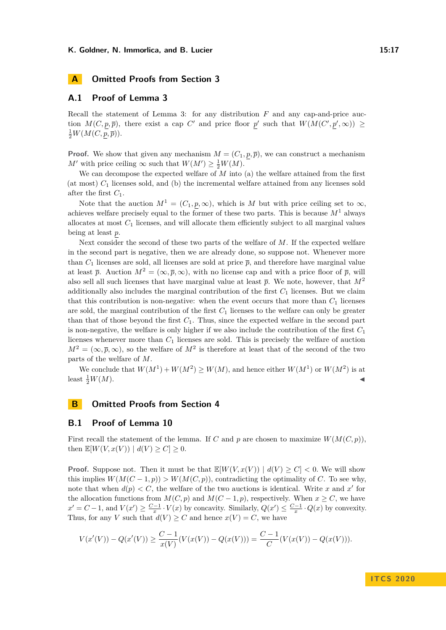## <span id="page-16-0"></span>**A.1 Proof of Lemma [3](#page-7-1)**

Recall the statement of Lemma [3:](#page-7-1) for any distribution *F* and any cap-and-price auction  $M(C, p, \overline{p})$ , there exist a cap C' and price floor p' such that  $W(M(C', p', \infty)) \ge$  $\frac{1}{2}W(M(C,\underline{p},\overline{p})).$ 

**Proof.** We show that given any mechanism  $M = (C_1, p, \overline{p})$ , we can construct a mechanism *M*<sup> $\prime$ </sup> with price ceiling  $\infty$  such that  $W(M') \geq \frac{1}{2}W(M)$ .

We can decompose the expected welfare of *M* into (a) the welfare attained from the first (at most) *C*<sup>1</sup> licenses sold, and (b) the incremental welfare attained from any licenses sold after the first *C*1.

Note that the auction  $M^1 = (C_1, p, \infty)$ , which is M but with price ceiling set to  $\infty$ , achieves welfare precisely equal to the former of these two parts. This is because  $M<sup>1</sup>$  always allocates at most *C*<sup>1</sup> licenses, and will allocate them efficiently subject to all marginal values being at least *p*.

Next consider the second of these two parts of the welfare of *M*. If the expected welfare in the second part is negative, then we are already done, so suppose not. Whenever more than  $C_1$  licenses are sold, all licenses are sold at price  $\bar{p}$ , and therefore have marginal value at least  $\bar{p}$ . Auction  $M^2 = (\infty, \bar{p}, \infty)$ , with no license cap and with a price floor of  $\bar{p}$ , will also sell all such licenses that have marginal value at least  $\bar{p}$ . We note, however, that  $M^2$ additionally also includes the marginal contribution of the first  $C_1$  licenses. But we claim that this contribution is non-negative: when the event occurs that more than  $C_1$  licenses are sold, the marginal contribution of the first *C*<sup>1</sup> licenses to the welfare can only be greater than that of those beyond the first *C*1. Thus, since the expected welfare in the second part is non-negative, the welfare is only higher if we also include the contribution of the first *C*<sup>1</sup> licenses whenever more than *C*<sup>1</sup> licenses are sold. This is precisely the welfare of auction  $M^2 = (\infty, \bar{p}, \infty)$ , so the welfare of  $M^2$  is therefore at least that of the second of the two parts of the welfare of *M*.

We conclude that  $W(M^1) + W(M^2) \ge W(M)$ , and hence either  $W(M^1)$  or  $W(M^2)$  is at least  $\frac{1}{2}W(M)$ .  $\frac{1}{2}W(M).$ 

# **B Omitted Proofs from Section [4](#page-8-0)**

# <span id="page-16-1"></span>**B.1 Proof of Lemma [10](#page-12-1)**

First recall the statement of the lemma. If *C* and *p* are chosen to maximize  $W(M(C, p))$ , then  $\mathbb{E}[W(V, x(V)) | d(V) > C] > 0$ .

**Proof.** Suppose not. Then it must be that  $\mathbb{E}[W(V, x(V))] | d(V) \geq C' < 0$ . We will show this implies  $W(M(C-1, p)) > W(M(C, p))$ , contradicting the optimality of *C*. To see why, note that when  $d(p) < C$ , the welfare of the two auctions is identical. Write x and x' for the allocation functions from  $M(C, p)$  and  $M(C - 1, p)$ , respectively. When  $x \ge C$ , we have  $x' = C - 1$ , and  $V(x') \ge \frac{C - 1}{x} \cdot V(x)$  by concavity. Similarly,  $Q(x') \le \frac{C - 1}{x} \cdot Q(x)$  by convexity. Thus, for any *V* such that  $d(V) \geq C$  and hence  $x(V) = C$ , we have

$$
V(x'(V)) - Q(x'(V)) \ge \frac{C-1}{x(V)}(V(x(V)) - Q(x(V))) = \frac{C-1}{C}(V(x(V)) - Q(x(V))).
$$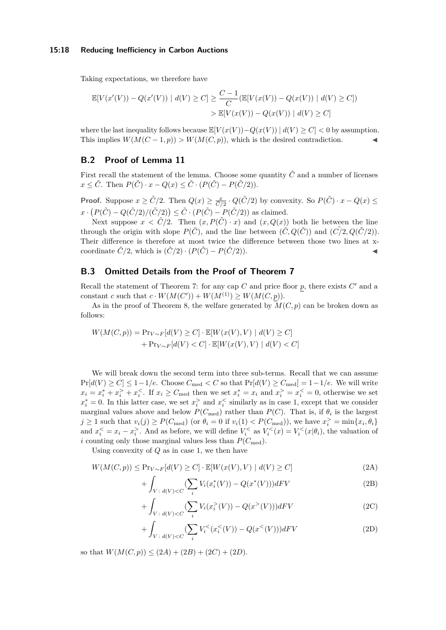### **15:18 Reducing Inefficiency in Carbon Auctions**

Taking expectations, we therefore have

$$
\mathbb{E}[V(x'(V)) - Q(x'(V)) | d(V) \ge C] \ge \frac{C-1}{C} (\mathbb{E}[V(x(V)) - Q(x(V)) | d(V) \ge C])
$$
  
> 
$$
\mathbb{E}[V(x(V)) - Q(x(V)) | d(V) \ge C]
$$

where the last inequality follows because  $\mathbb{E}[V(x(V)) - Q(x(V))] \, d(V) \geq C \leq 0$  by assumption. This implies  $W(M(C-1, p)) > W(M(C, p))$ , which is the desired contradiction.

# <span id="page-17-0"></span>**B.2 Proof of Lemma [11](#page-12-2)**

First recall the statement of the lemma. Choose some quantity  $\tilde{C}$  and a number of licenses  $x \leq \tilde{C}$ . Then  $P(\tilde{C}) \cdot x - Q(x) \leq \tilde{C} \cdot (P(\tilde{C}) - P(\tilde{C}/2))$ .

**Proof.** Suppose  $x \geq \tilde{C}/2$ . Then  $Q(x) \geq \frac{x}{\tilde{C}/2} \cdot Q(\tilde{C}/2)$  by convexity. So  $P(\tilde{C}) \cdot x - Q(x) \leq$  $x \cdot (P(\tilde{C}) - Q(\tilde{C}/2)/(\tilde{C}/2)) \leq \tilde{C} \cdot (P(\tilde{C}) - P(\tilde{C}/2))$  as claimed.

Next suppose  $x < \tilde{C}/2$ . Then  $(x, P(\tilde{C}) \cdot x)$  and  $(x, Q(x))$  both lie between the line through the origin with slope  $P(\tilde{C})$ , and the line between  $(\tilde{C}, Q(\tilde{C}))$  and  $(\tilde{C}/2, Q(\tilde{C}/2))$ . Their difference is therefore at most twice the difference between those two lines at xcoordinate  $\tilde{C}/2$ , which is  $(\tilde{C}/2) \cdot (P(\tilde{C}) - P(\tilde{C}/2))$ .

# <span id="page-17-1"></span>**B.3 Omitted Details from the Proof of Theorem [7](#page-9-0)**

Recall the statement of Theorem [7:](#page-9-0) for any cap  $C$  and price floor  $p$ , there exists  $C'$  and a constant *c* such that  $c \cdot W(M(C')) + W(M^{(1)}) \ge W(M(C, p)).$ 

As in the proof of Theorem [8,](#page-10-0) the welfare generated by  $M(C, p)$  can be broken down as follows:

$$
W(M(C,p)) = \Pr_{V \sim F}[d(V) \ge C] \cdot \mathbb{E}[W(x(V), V) | d(V) \ge C] + \Pr_{V \sim F}[d(V) < C] \cdot \mathbb{E}[W(x(V), V) | d(V) < C]
$$

We will break down the second term into three sub-terms. Recall that we can assume  $Pr[d(V) \ge C] \le 1-1/e$ . Choose  $C_{\text{med}} < C$  so that  $Pr[d(V) \ge C_{\text{med}}] = 1-1/e$ . We will write  $x_i = x_i^* + x_i^* + x_i^<$ . If  $x_i \ge C_{\text{med}}$  then we set  $x_i^* = x_i$  and  $x_i^* = x_i^< = 0$ , otherwise we set  $x_i^* = 0$ . In this latter case, we set  $x_i^>$  and  $x_i^<$  similarly as in case 1, except that we consider marginal values above and below  $P(C_{\text{med}})$  rather than  $P(C)$ . That is, if  $\theta_i$  is the largest  $j \geq 1$  such that  $v_i(j) \geq P(C_{\text{med}})$  (or  $\theta_i = 0$  if  $v_i(1) < P(C_{\text{med}})$ ), we have  $x_i^{\geq} = \min\{x_i, \theta_i\}$ and  $x_i^{\leq} = x_i - x_i^{\geq}$ . And as before, we will define  $V_i^{\leq}$  as  $V_i^{\leq}(x) = V_i^{\leq}(x|\theta_i)$ , the valuation of *i* counting only those marginal values less than  $P(C_{\text{med}})$ .

Using convexity of *Q* as in case 1, we then have

$$
W(M(C, p)) \le \Pr_{V \sim F}[d(V) \ge C] \cdot \mathbb{E}[W(x(V), V) \mid d(V) \ge C]
$$
\n(2A)

$$
+\int_{V\,:\,d(V)< C} (\sum_{i} V_i(x_i^*(V)) - Q(x^*(V)))dF V\tag{2B}
$$

$$
+ \int_{V \,:\, d(V) < C} \left( \sum_{i} V_i(x_i^{\geq}(V)) - Q(x^{\geq}(V)) \right) dF V \tag{2C}
$$

$$
+\int_{V\colon d(V) < C} (\sum_{i} V_i^{\leq}(x_i^{\leq}(V)) - Q(x^{\leq}(V)))dF V \tag{2D}
$$

so that  $W(M(C, p)) \leq (2A) + (2B) + (2C) + (2D)$ .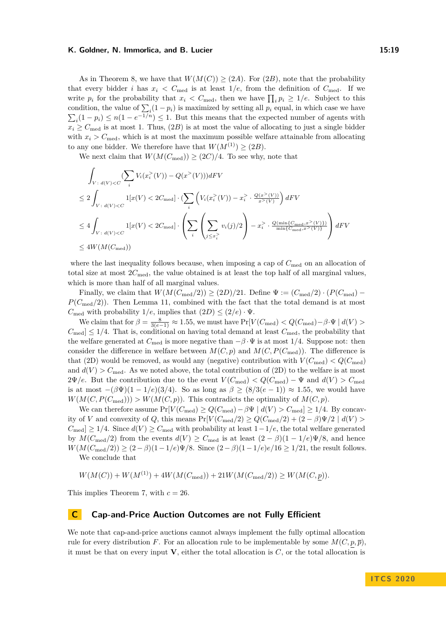As in Theorem [8,](#page-10-0) we have that  $W(M(C)) \geq (2A)$ . For  $(2B)$ , note that the probability that every bidder *i* has  $x_i \leq C_{\text{med}}$  is at least  $1/e$ , from the definition of  $C_{\text{med}}$ . If we write  $p_i$  for the probability that  $x_i < C_{\text{med}}$ , then we have  $\prod_i p_i \geq 1/e$ . Subject to this condition, the value of  $\sum_i (1 - p_i)$  is maximized by setting all  $p_i$  equal, in which case we have  $\sum_i (1 - p_i) \le n(1 - e^{-1/n}) \le 1$ . But this means that the expected number of agents with  $x_i > C_{\text{med}}$  is at most 1. Thus,  $(2B)$  is at most the value of allocating to just a single bidder with  $x_i > C_{\text{med}}$ , which is at most the maximum possible welfare attainable from allocating to any one bidder. We therefore have that  $W(M^{(1)}) \geq (2B)$ .

We next claim that  $W(M(C_{\text{med}})) \geq (2C)/4$ . To see why, note that

$$
\int_{V \,:\, d(V) < C} (\sum_{i} V_i(x_i^>(V)) - Q(x^>(V))) dF V
$$
\n
$$
\leq 2 \int_{V \,:\, d(V) < C} 1[x(V) < 2C_{\text{med}}] \cdot (\sum_{i} \left( V_i(x_i^>(V)) - x_i^>(\frac{Q(x^>(V))}{x^>(V)}) \right) dF V
$$
\n
$$
\leq 4 \int_{V \,:\, d(V) < C} 1[x(V) < 2C_{\text{med}}] \cdot \left( \sum_{i} \left( \sum_{j \leq x_i^>(y_i^*)(j)} 2 \right) - x_i^>(\frac{Q(\min\{C_{\text{med}}, x^>(V)\})}{\min\{C_{\text{med}}, x^>(V)\}} \right) dF V
$$
\n
$$
\leq 4W(M(C_{\text{med}}))
$$

where the last inequality follows because, when imposing a cap of  $C_{\text{med}}$  on an allocation of total size at most  $2C_{\text{med}}$ , the value obtained is at least the top half of all marginal values, which is more than half of all marginal values.

Finally, we claim that  $W(M(C_{\text{med}}/2)) \geq (2D)/21$ . Define  $\Psi := (C_{\text{med}}/2) \cdot (P(C_{\text{med}}) P(C_{\text{med}}/2)$ ). Then Lemma [11,](#page-12-2) combined with the fact that the total demand is at most *C*<sub>med</sub> with probability  $1/e$ , implies that  $(2D) \leq (2/e) \cdot \Psi$ .

We claim that for  $\beta = \frac{8}{3(e-1)} \approx 1.55$ , we must have  $Pr[V(C_{\text{med}}) < Q(C_{\text{med}}) - \beta \cdot \Psi \mid d(V) >$  $C_{\text{med}} \leq 1/4$ . That is, conditional on having total demand at least  $C_{\text{med}}$ , the probability that the welfare generated at  $C_{\text{med}}$  is more negative than  $-\beta \cdot \Psi$  is at most 1/4. Suppose not: then consider the difference in welfare between  $M(C, p)$  and  $M(C, P(C_{\text{med}}))$ . The difference is that (2D) would be removed, as would any (negative) contribution with  $V(C_{\text{med}}) < Q(C_{\text{med}})$ and  $d(V) > C_{\text{med}}$ . As we noted above, the total contribution of (2D) to the welfare is at most  $2\Psi/e$ . But the contribution due to the event  $V(C_{\text{med}}) < Q(C_{\text{med}}) - \Psi$  and  $d(V) > C_{\text{med}}$ is at most  $-(\beta \Psi)(1 - 1/e)(3/4)$ . So as long as  $\beta \geq (8/3(e-1)) \approx 1.55$ , we would have  $W(M(C, P(C_{\text{med}}))) > W(M(C, p))$ . This contradicts the optimality of  $M(C, p)$ .

We can therefore assume  $Pr[V(C_{\text{med}}) \ge Q(C_{\text{med}}) - \beta \Psi \mid d(V) > C_{\text{med}}] \ge 1/4$ . By concavity of *V* and convexity of *Q*, this means  $Pr[V(C_{\text{med}}/2) \ge Q(C_{\text{med}}/2) + (2 - \beta)\Psi/2 \mid d(V) >$  $C_{\text{med}} \geq 1/4$ . Since  $d(V) \geq C_{\text{med}}$  with probability at least  $1-1/e$ , the total welfare generated by  $M(C_{\text{med}}/2)$  from the events  $d(V) \geq C_{\text{med}}$  is at least  $(2 - \beta)(1 - 1/e)\Psi/8$ , and hence *W*(*M*(*C*<sub>med</sub>/2)) ≥  $(2 - \beta)(1 - 1/e)$ Ψ/8. Since  $(2 - \beta)(1 - 1/e)e/16$  ≥ 1/21, the result follows. We conclude that

$$
W(M(C)) + W(M^{(1)}) + 4W(M(C_{\text{med}})) + 21W(M(C_{\text{med}}/2)) \ge W(M(C, p)).
$$

This implies Theorem [7,](#page-9-0) with *c* = 26.

## <span id="page-18-0"></span>**C Cap-and-Price Auction Outcomes are not Fully Efficient**

We note that cap-and-price auctions cannot always implement the fully optimal allocation rule for every distribution *F*. For an allocation rule to be implementable by some  $M(C, p, \overline{p})$ . it must be that on every input **V**, either the total allocation is *C*, or the total allocation is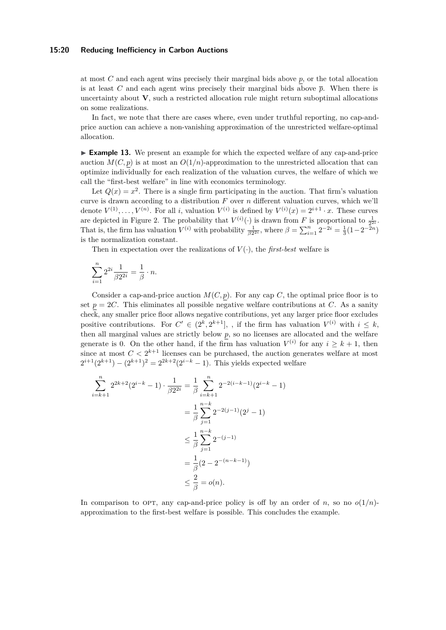## **15:20 Reducing Inefficiency in Carbon Auctions**

at most *C* and each agent wins precisely their marginal bids above *p*, or the total allocation is at least *C* and each agent wins precisely their marginal bids above  $\bar{p}$ . When there is uncertainty about **V**, such a restricted allocation rule might return suboptimal allocations on some realizations.

In fact, we note that there are cases where, even under truthful reporting, no cap-andprice auction can achieve a non-vanishing approximation of the unrestricted welfare-optimal allocation.

<span id="page-19-0"></span>► **Example 13.** We present an example for which the expected welfare of any cap-and-price auction  $M(C, p)$  is at most an  $O(1/n)$ -approximation to the unrestricted allocation that can optimize individually for each realization of the valuation curves, the welfare of which we call the "first-best welfare" in line with economics terminology.

Let  $Q(x) = x^2$ . There is a single firm participating in the auction. That firm's valuation curve is drawn according to a distribution *F* over *n* different valuation curves, which we'll denote  $V^{(1)}, \ldots, V^{(n)}$ . For all *i*, valuation  $V^{(i)}$  is defined by  $V^{(i)}(x) = 2^{i+1} \cdot x$ . These curves are depicted in Figure [2.](#page-20-1) The probability that  $V^{(i)}(\cdot)$  is drawn from *F* is proportional to  $\frac{1}{2^{2i}}$ . That is, the firm has valuation  $V^{(i)}$  with probability  $\frac{1}{\beta 2^{2i}}$ , where  $\beta = \sum_{i=1}^{n} 2^{-2i} = \frac{1}{3}(1-2^{-2n})$ is the normalization constant.

Then in expectation over the realizations of  $V(\cdot)$ , the *first-best* welfare is

$$
\sum_{i=1}^{n} 2^{2i} \frac{1}{\beta 2^{2i}} = \frac{1}{\beta} \cdot n.
$$

Consider a cap-and-price auction  $M(C, p)$ . For any cap *C*, the optimal price floor is to set  $p = 2C$ . This eliminates all possible negative welfare contributions at *C*. As a sanity check, any smaller price floor allows negative contributions, yet any larger price floor excludes positive contributions. For  $C' \in (2^k, 2^{k+1}]$ , , if the firm has valuation  $V^{(i)}$  with  $i \leq k$ , then all marginal values are strictly below *p*, so no licenses are allocated and the welfare generate is 0. On the other hand, if the firm has valuation  $V^{(i)}$  for any  $i \geq k+1$ , then since at most  $C < 2^{k+1}$  licenses can be purchased, the auction generates welfare at most  $2^{i+1}(2^{k+1}) - (2^{k+1})^2 = 2^{2k+2}(2^{i-k}-1)$ . This yields expected welfare

$$
\sum_{i=k+1}^{n} 2^{2k+2} (2^{i-k} - 1) \cdot \frac{1}{\beta 2^{2i}} = \frac{1}{\beta} \sum_{i=k+1}^{n} 2^{-2(i-k-1)} (2^{i-k} - 1)
$$

$$
= \frac{1}{\beta} \sum_{j=1}^{n-k} 2^{-2(j-1)} (2^j - 1)
$$

$$
\leq \frac{1}{\beta} \sum_{j=1}^{n-k} 2^{-(j-1)}
$$

$$
= \frac{1}{\beta} (2 - 2^{-(n-k-1)})
$$

$$
\leq \frac{2}{\beta} = o(n).
$$

In comparison to OPT, any cap-and-price policy is off by an order of *n*, so no  $o(1/n)$ approximation to the first-best welfare is possible. This concludes the example.